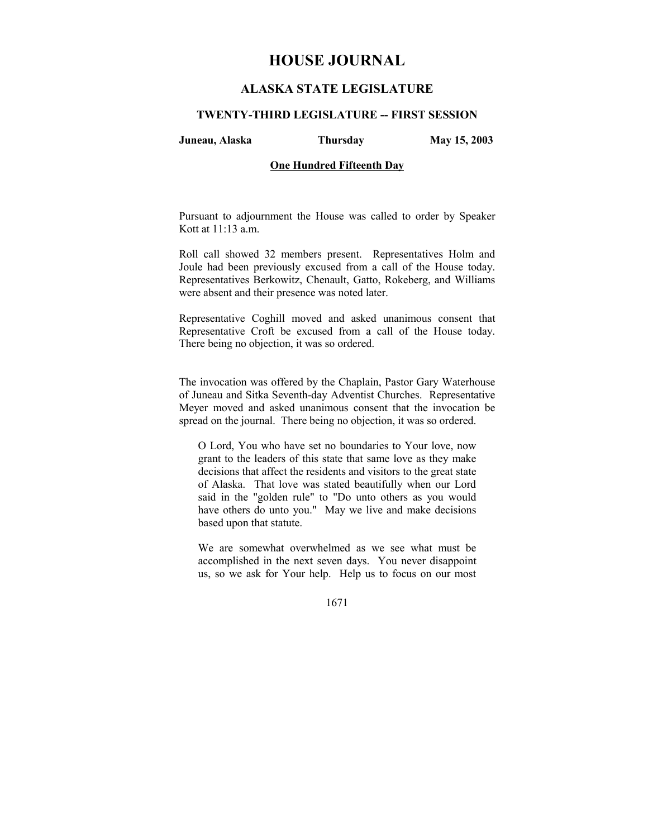# **HOUSE JOURNAL**

# **ALASKA STATE LEGISLATURE**

#### **TWENTY-THIRD LEGISLATURE -- FIRST SESSION**

**Juneau, Alaska Thursday May 15, 2003** 

# **One Hundred Fifteenth Day**

Pursuant to adjournment the House was called to order by Speaker Kott at 11:13 a.m.

Roll call showed 32 members present. Representatives Holm and Joule had been previously excused from a call of the House today. Representatives Berkowitz, Chenault, Gatto, Rokeberg, and Williams were absent and their presence was noted later.

Representative Coghill moved and asked unanimous consent that Representative Croft be excused from a call of the House today. There being no objection, it was so ordered.

The invocation was offered by the Chaplain, Pastor Gary Waterhouse of Juneau and Sitka Seventh-day Adventist Churches. Representative Meyer moved and asked unanimous consent that the invocation be spread on the journal. There being no objection, it was so ordered.

O Lord, You who have set no boundaries to Your love, now grant to the leaders of this state that same love as they make decisions that affect the residents and visitors to the great state of Alaska. That love was stated beautifully when our Lord said in the "golden rule" to "Do unto others as you would have others do unto you." May we live and make decisions based upon that statute.

We are somewhat overwhelmed as we see what must be accomplished in the next seven days. You never disappoint us, so we ask for Your help. Help us to focus on our most

1671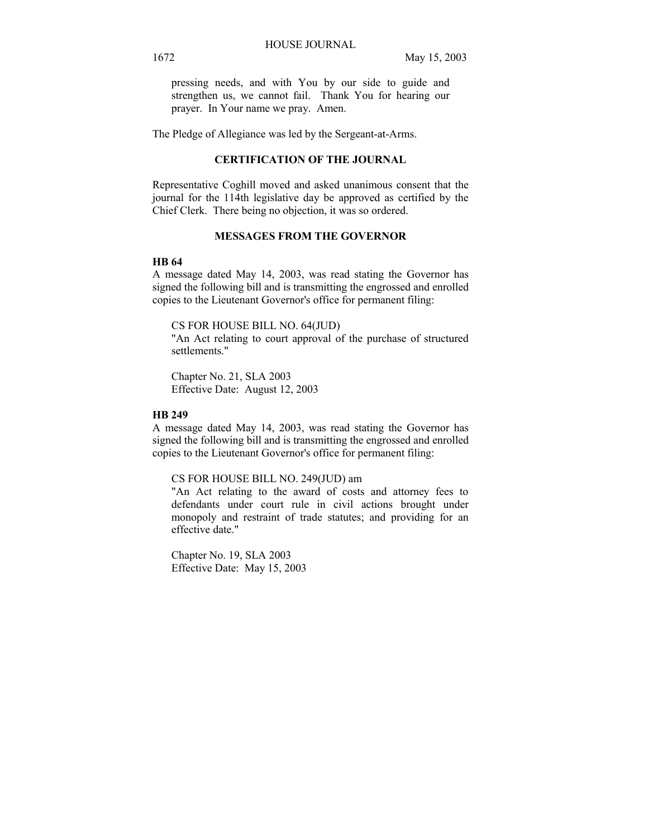pressing needs, and with You by our side to guide and strengthen us, we cannot fail. Thank You for hearing our prayer. In Your name we pray. Amen.

The Pledge of Allegiance was led by the Sergeant-at-Arms.

# **CERTIFICATION OF THE JOURNAL**

Representative Coghill moved and asked unanimous consent that the journal for the 114th legislative day be approved as certified by the Chief Clerk. There being no objection, it was so ordered.

# **MESSAGES FROM THE GOVERNOR**

# **HB 64**

A message dated May 14, 2003, was read stating the Governor has signed the following bill and is transmitting the engrossed and enrolled copies to the Lieutenant Governor's office for permanent filing:

CS FOR HOUSE BILL NO. 64(JUD)

"An Act relating to court approval of the purchase of structured settlements."

Chapter No. 21, SLA 2003 Effective Date: August 12, 2003

# **HB 249**

A message dated May 14, 2003, was read stating the Governor has signed the following bill and is transmitting the engrossed and enrolled copies to the Lieutenant Governor's office for permanent filing:

#### CS FOR HOUSE BILL NO. 249(JUD) am

"An Act relating to the award of costs and attorney fees to defendants under court rule in civil actions brought under monopoly and restraint of trade statutes; and providing for an effective date."

Chapter No. 19, SLA 2003 Effective Date: May 15, 2003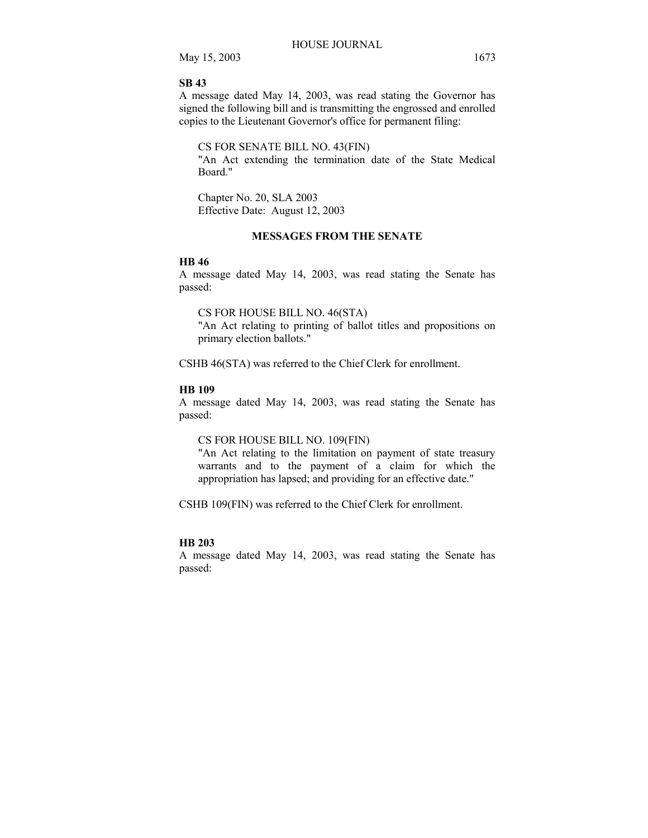#### **SB 43**

A message dated May 14, 2003, was read stating the Governor has signed the following bill and is transmitting the engrossed and enrolled copies to the Lieutenant Governor's office for permanent filing:

CS FOR SENATE BILL NO. 43(FIN)

"An Act extending the termination date of the State Medical Board."

Chapter No. 20, SLA 2003 Effective Date: August 12, 2003

# **MESSAGES FROM THE SENATE**

#### **HB 46**

A message dated May 14, 2003, was read stating the Senate has passed:

CS FOR HOUSE BILL NO. 46(STA)

"An Act relating to printing of ballot titles and propositions on primary election ballots."

CSHB 46(STA) was referred to the Chief Clerk for enrollment.

# **HB 109**

A message dated May 14, 2003, was read stating the Senate has passed:

#### CS FOR HOUSE BILL NO. 109(FIN)

"An Act relating to the limitation on payment of state treasury warrants and to the payment of a claim for which the appropriation has lapsed; and providing for an effective date."

CSHB 109(FIN) was referred to the Chief Clerk for enrollment.

# **HB 203**

A message dated May 14, 2003, was read stating the Senate has passed: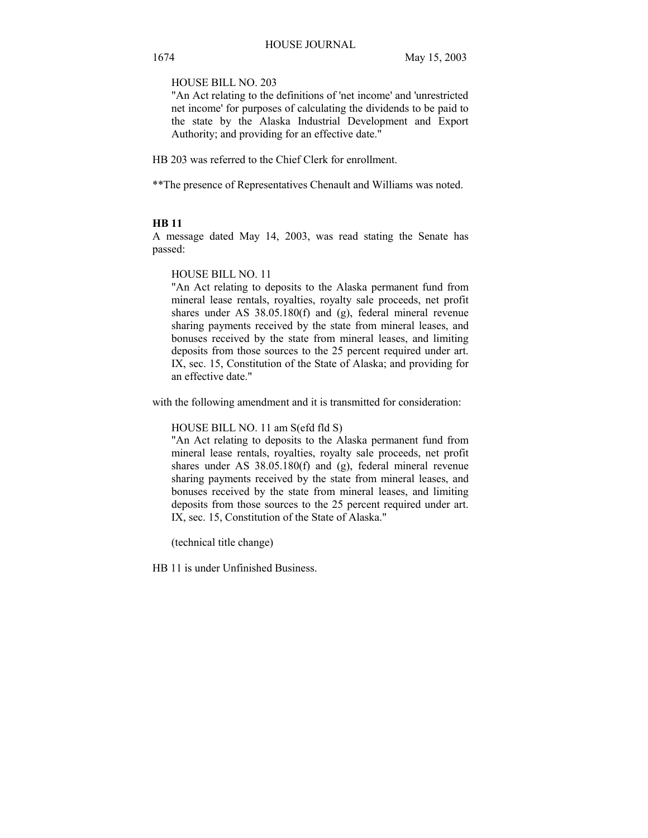HOUSE BILL NO. 203

"An Act relating to the definitions of 'net income' and 'unrestricted net income' for purposes of calculating the dividends to be paid to the state by the Alaska Industrial Development and Export Authority; and providing for an effective date."

HB 203 was referred to the Chief Clerk for enrollment.

\*\*The presence of Representatives Chenault and Williams was noted.

#### **HB 11**

A message dated May 14, 2003, was read stating the Senate has passed:

HOUSE BILL NO. 11

"An Act relating to deposits to the Alaska permanent fund from mineral lease rentals, royalties, royalty sale proceeds, net profit shares under AS 38.05.180(f) and (g), federal mineral revenue sharing payments received by the state from mineral leases, and bonuses received by the state from mineral leases, and limiting deposits from those sources to the 25 percent required under art. IX, sec. 15, Constitution of the State of Alaska; and providing for an effective date."

with the following amendment and it is transmitted for consideration:

HOUSE BILL NO. 11 am S(efd fld S)

"An Act relating to deposits to the Alaska permanent fund from mineral lease rentals, royalties, royalty sale proceeds, net profit shares under AS 38.05.180(f) and (g), federal mineral revenue sharing payments received by the state from mineral leases, and bonuses received by the state from mineral leases, and limiting deposits from those sources to the 25 percent required under art. IX, sec. 15, Constitution of the State of Alaska."

(technical title change)

HB 11 is under Unfinished Business.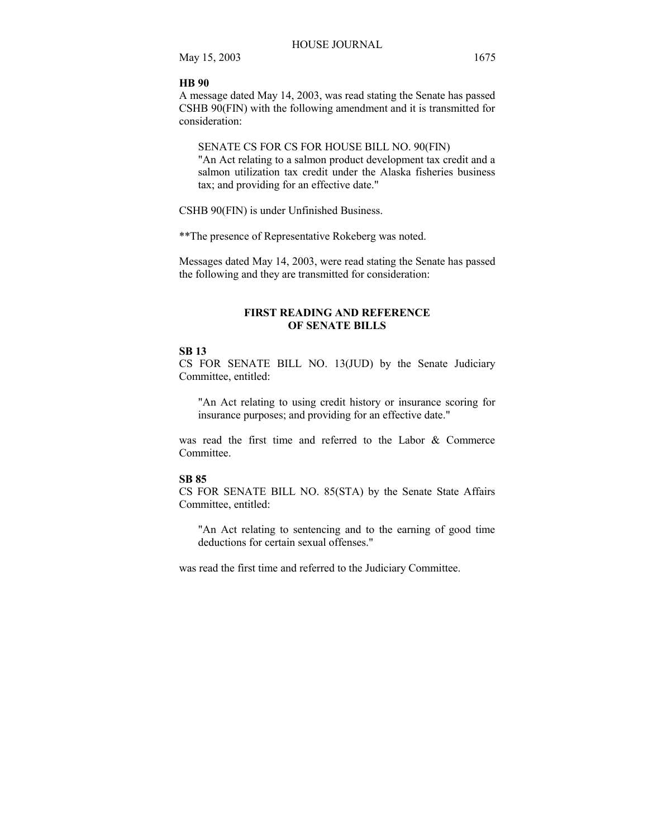#### **HB 90**

A message dated May 14, 2003, was read stating the Senate has passed CSHB 90(FIN) with the following amendment and it is transmitted for consideration:

# SENATE CS FOR CS FOR HOUSE BILL NO. 90(FIN)

"An Act relating to a salmon product development tax credit and a salmon utilization tax credit under the Alaska fisheries business tax; and providing for an effective date."

CSHB 90(FIN) is under Unfinished Business.

\*\*The presence of Representative Rokeberg was noted.

Messages dated May 14, 2003, were read stating the Senate has passed the following and they are transmitted for consideration:

# **FIRST READING AND REFERENCE OF SENATE BILLS**

# **SB 13**

CS FOR SENATE BILL NO. 13(JUD) by the Senate Judiciary Committee, entitled:

"An Act relating to using credit history or insurance scoring for insurance purposes; and providing for an effective date."

was read the first time and referred to the Labor & Commerce **Committee** 

#### **SB 85**

CS FOR SENATE BILL NO. 85(STA) by the Senate State Affairs Committee, entitled:

"An Act relating to sentencing and to the earning of good time deductions for certain sexual offenses."

was read the first time and referred to the Judiciary Committee.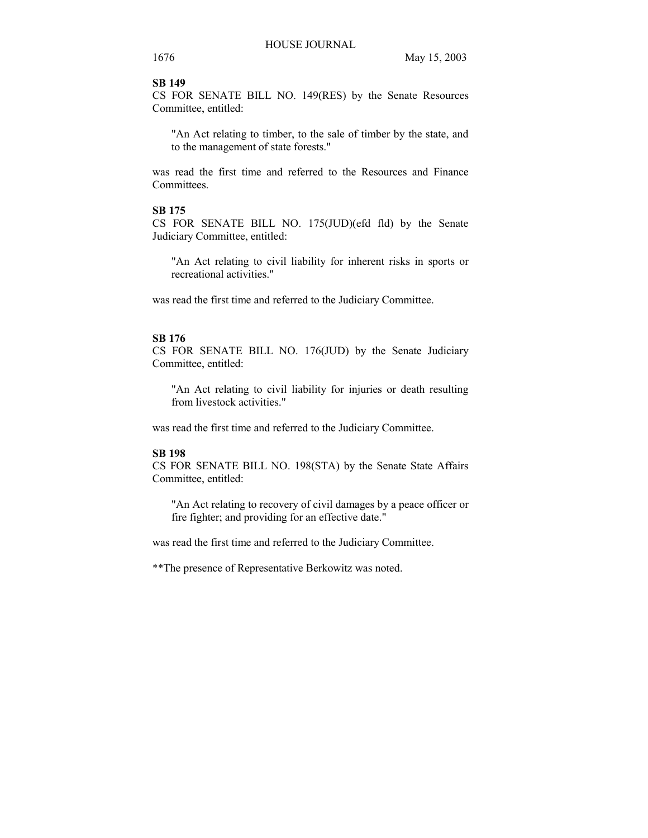# **SB 149**

CS FOR SENATE BILL NO. 149(RES) by the Senate Resources Committee, entitled:

"An Act relating to timber, to the sale of timber by the state, and to the management of state forests."

was read the first time and referred to the Resources and Finance **Committees** 

# **SB 175**

CS FOR SENATE BILL NO. 175(JUD)(efd fld) by the Senate Judiciary Committee, entitled:

"An Act relating to civil liability for inherent risks in sports or recreational activities."

was read the first time and referred to the Judiciary Committee.

#### **SB 176**

CS FOR SENATE BILL NO. 176(JUD) by the Senate Judiciary Committee, entitled:

"An Act relating to civil liability for injuries or death resulting from livestock activities."

was read the first time and referred to the Judiciary Committee.

## **SB 198**

CS FOR SENATE BILL NO. 198(STA) by the Senate State Affairs Committee, entitled:

"An Act relating to recovery of civil damages by a peace officer or fire fighter; and providing for an effective date."

was read the first time and referred to the Judiciary Committee.

\*\*The presence of Representative Berkowitz was noted.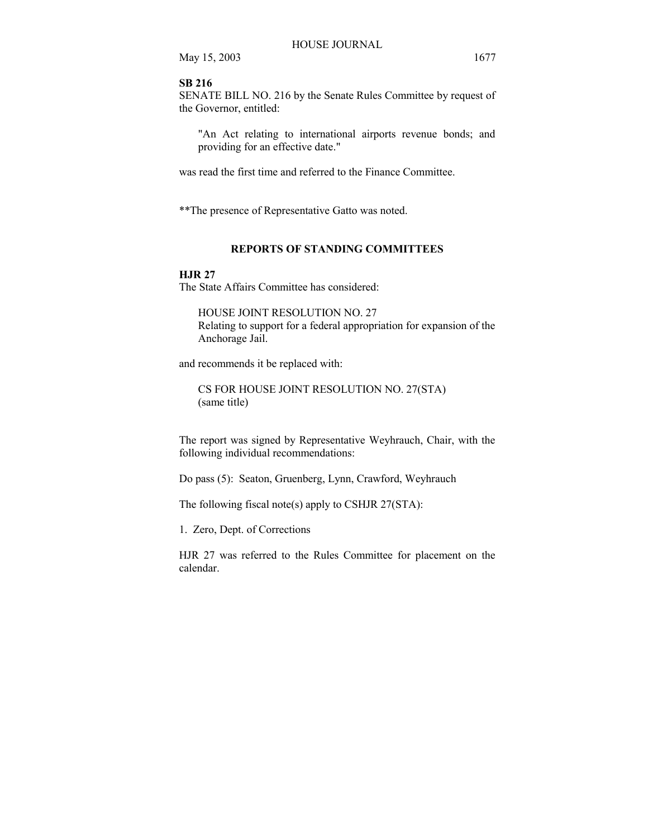#### **SB 216**

SENATE BILL NO. 216 by the Senate Rules Committee by request of the Governor, entitled:

"An Act relating to international airports revenue bonds; and providing for an effective date."

was read the first time and referred to the Finance Committee.

\*\*The presence of Representative Gatto was noted.

# **REPORTS OF STANDING COMMITTEES**

#### **HJR 27**

The State Affairs Committee has considered:

HOUSE JOINT RESOLUTION NO. 27 Relating to support for a federal appropriation for expansion of the Anchorage Jail.

and recommends it be replaced with:

CS FOR HOUSE JOINT RESOLUTION NO. 27(STA) (same title)

The report was signed by Representative Weyhrauch, Chair, with the following individual recommendations:

Do pass (5): Seaton, Gruenberg, Lynn, Crawford, Weyhrauch

The following fiscal note(s) apply to CSHJR 27(STA):

1. Zero, Dept. of Corrections

HJR 27 was referred to the Rules Committee for placement on the calendar.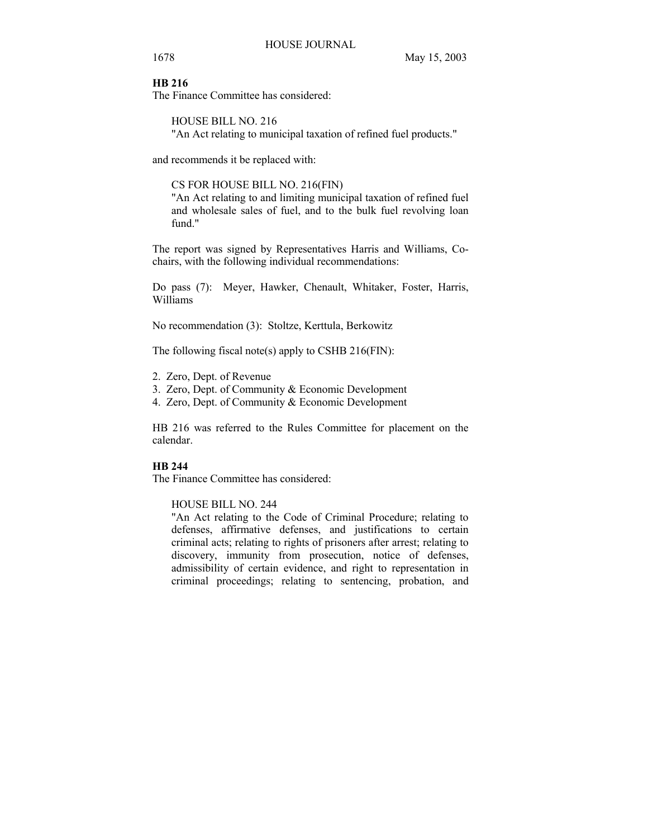#### **HB 216**

The Finance Committee has considered:

HOUSE BILL NO. 216 "An Act relating to municipal taxation of refined fuel products."

and recommends it be replaced with:

CS FOR HOUSE BILL NO. 216(FIN)

"An Act relating to and limiting municipal taxation of refined fuel and wholesale sales of fuel, and to the bulk fuel revolving loan fund."

The report was signed by Representatives Harris and Williams, Cochairs, with the following individual recommendations:

Do pass (7): Meyer, Hawker, Chenault, Whitaker, Foster, Harris, Williams

No recommendation (3): Stoltze, Kerttula, Berkowitz

The following fiscal note(s) apply to CSHB 216(FIN):

- 2. Zero, Dept. of Revenue
- 3. Zero, Dept. of Community & Economic Development
- 4. Zero, Dept. of Community & Economic Development

HB 216 was referred to the Rules Committee for placement on the calendar.

# **HB 244**

The Finance Committee has considered:

HOUSE BILL NO. 244

"An Act relating to the Code of Criminal Procedure; relating to defenses, affirmative defenses, and justifications to certain criminal acts; relating to rights of prisoners after arrest; relating to discovery, immunity from prosecution, notice of defenses, admissibility of certain evidence, and right to representation in criminal proceedings; relating to sentencing, probation, and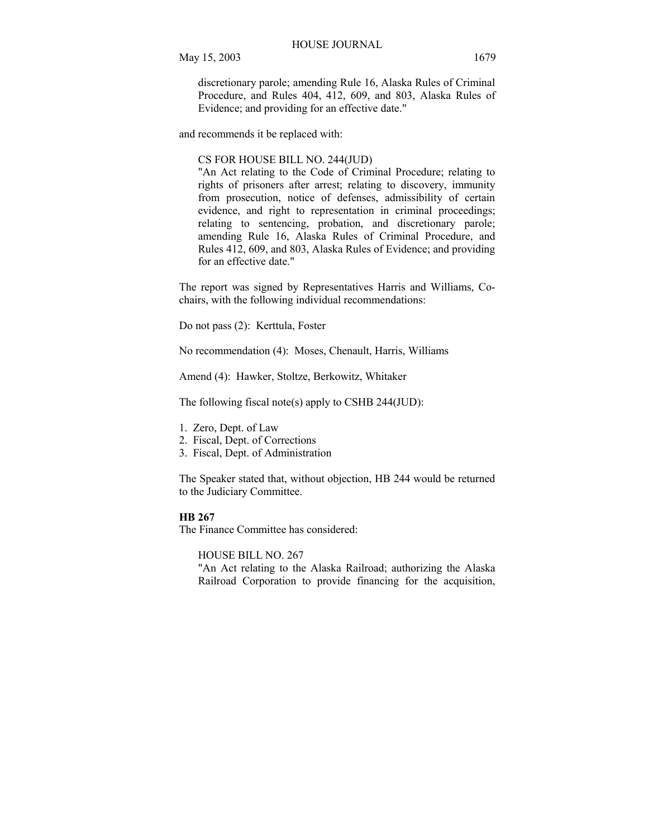discretionary parole; amending Rule 16, Alaska Rules of Criminal Procedure, and Rules 404, 412, 609, and 803, Alaska Rules of Evidence; and providing for an effective date."

and recommends it be replaced with:

CS FOR HOUSE BILL NO. 244(JUD)

"An Act relating to the Code of Criminal Procedure; relating to rights of prisoners after arrest; relating to discovery, immunity from prosecution, notice of defenses, admissibility of certain evidence, and right to representation in criminal proceedings; relating to sentencing, probation, and discretionary parole; amending Rule 16, Alaska Rules of Criminal Procedure, and Rules 412, 609, and 803, Alaska Rules of Evidence; and providing for an effective date."

The report was signed by Representatives Harris and Williams, Cochairs, with the following individual recommendations:

Do not pass (2): Kerttula, Foster

No recommendation (4): Moses, Chenault, Harris, Williams

Amend (4): Hawker, Stoltze, Berkowitz, Whitaker

The following fiscal note(s) apply to CSHB 244(JUD):

1. Zero, Dept. of Law

- 2. Fiscal, Dept. of Corrections
- 3. Fiscal, Dept. of Administration

The Speaker stated that, without objection, HB 244 would be returned to the Judiciary Committee.

#### **HB 267**

The Finance Committee has considered:

HOUSE BILL NO. 267

"An Act relating to the Alaska Railroad; authorizing the Alaska Railroad Corporation to provide financing for the acquisition,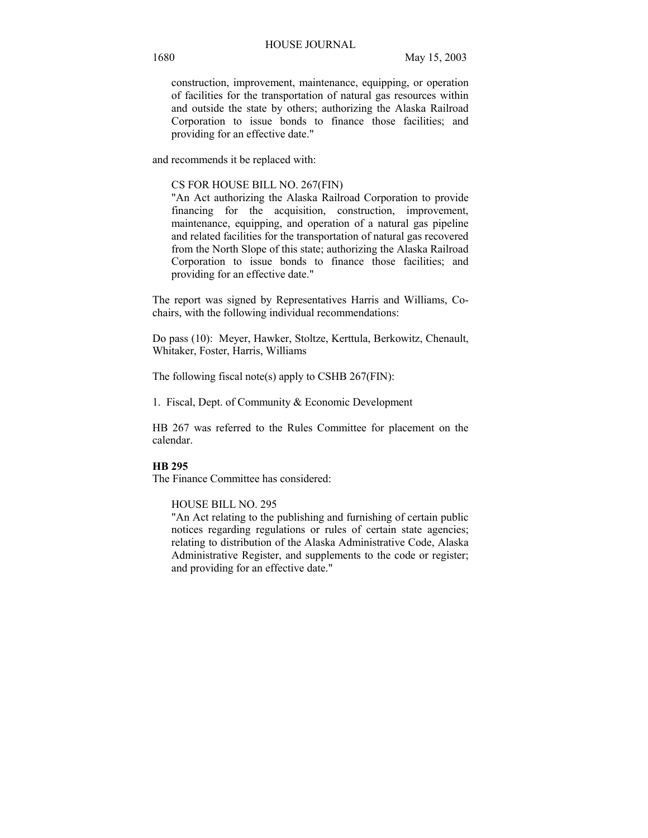construction, improvement, maintenance, equipping, or operation of facilities for the transportation of natural gas resources within and outside the state by others; authorizing the Alaska Railroad Corporation to issue bonds to finance those facilities; and providing for an effective date."

and recommends it be replaced with:

## CS FOR HOUSE BILL NO. 267(FIN)

"An Act authorizing the Alaska Railroad Corporation to provide financing for the acquisition, construction, improvement, maintenance, equipping, and operation of a natural gas pipeline and related facilities for the transportation of natural gas recovered from the North Slope of this state; authorizing the Alaska Railroad Corporation to issue bonds to finance those facilities; and providing for an effective date."

The report was signed by Representatives Harris and Williams, Cochairs, with the following individual recommendations:

Do pass (10): Meyer, Hawker, Stoltze, Kerttula, Berkowitz, Chenault, Whitaker, Foster, Harris, Williams

The following fiscal note(s) apply to CSHB 267(FIN):

1. Fiscal, Dept. of Community & Economic Development

HB 267 was referred to the Rules Committee for placement on the calendar.

# **HB 295**

The Finance Committee has considered:

HOUSE BILL NO. 295

"An Act relating to the publishing and furnishing of certain public notices regarding regulations or rules of certain state agencies; relating to distribution of the Alaska Administrative Code, Alaska Administrative Register, and supplements to the code or register; and providing for an effective date."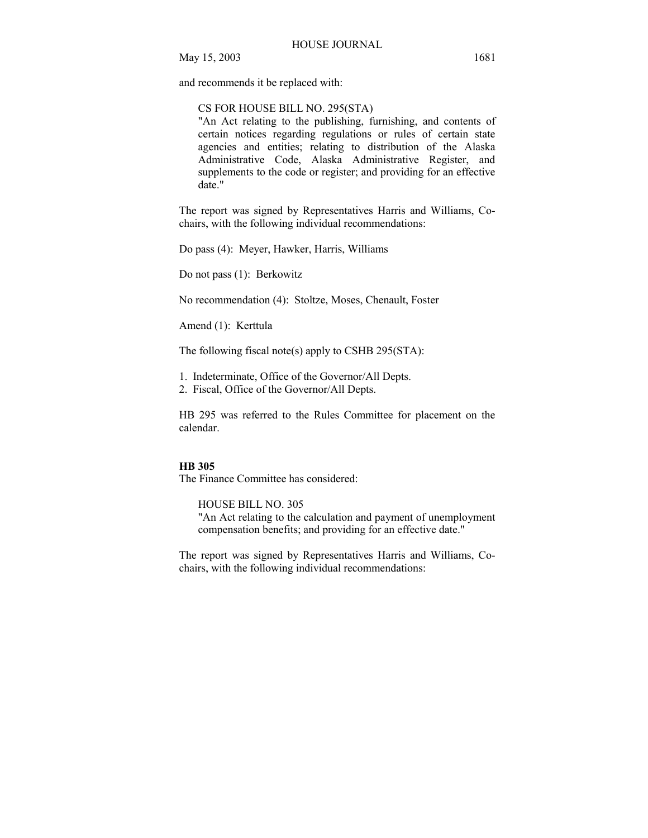and recommends it be replaced with:

#### CS FOR HOUSE BILL NO. 295(STA)

"An Act relating to the publishing, furnishing, and contents of certain notices regarding regulations or rules of certain state agencies and entities; relating to distribution of the Alaska Administrative Code, Alaska Administrative Register, and supplements to the code or register; and providing for an effective date."

The report was signed by Representatives Harris and Williams, Cochairs, with the following individual recommendations:

Do pass (4): Meyer, Hawker, Harris, Williams

Do not pass (1): Berkowitz

No recommendation (4): Stoltze, Moses, Chenault, Foster

Amend (1): Kerttula

The following fiscal note(s) apply to CSHB 295( $STA$ ):

1. Indeterminate, Office of the Governor/All Depts.

2. Fiscal, Office of the Governor/All Depts.

HB 295 was referred to the Rules Committee for placement on the calendar.

#### **HB 305**

The Finance Committee has considered:

HOUSE BILL NO. 305 "An Act relating to the calculation and payment of unemployment compensation benefits; and providing for an effective date."

The report was signed by Representatives Harris and Williams, Cochairs, with the following individual recommendations: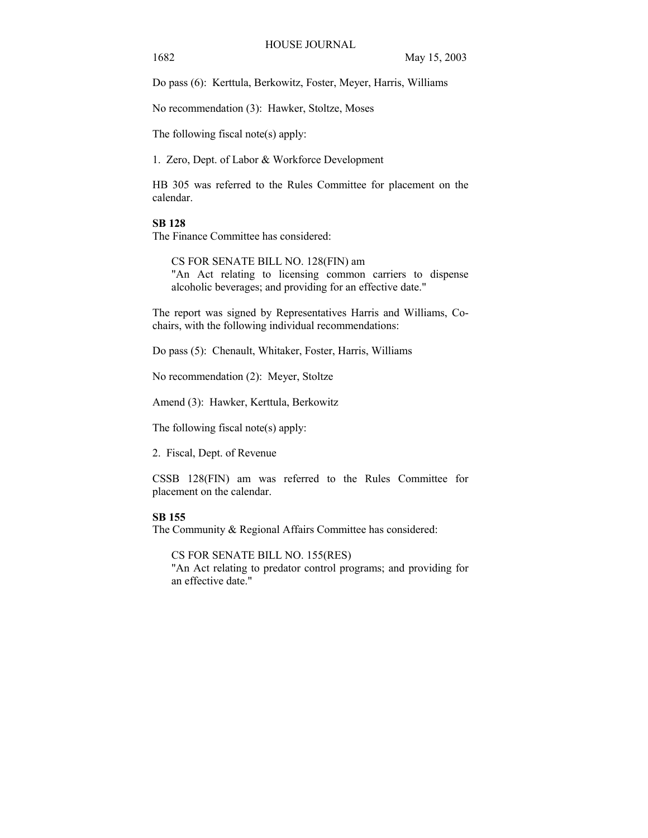Do pass (6): Kerttula, Berkowitz, Foster, Meyer, Harris, Williams

No recommendation (3): Hawker, Stoltze, Moses

The following fiscal note(s) apply:

1. Zero, Dept. of Labor & Workforce Development

HB 305 was referred to the Rules Committee for placement on the calendar.

#### **SB 128**

The Finance Committee has considered:

CS FOR SENATE BILL NO. 128(FIN) am "An Act relating to licensing common carriers to dispense alcoholic beverages; and providing for an effective date."

The report was signed by Representatives Harris and Williams, Cochairs, with the following individual recommendations:

Do pass (5): Chenault, Whitaker, Foster, Harris, Williams

No recommendation (2): Meyer, Stoltze

Amend (3): Hawker, Kerttula, Berkowitz

The following fiscal note(s) apply:

2. Fiscal, Dept. of Revenue

CSSB 128(FIN) am was referred to the Rules Committee for placement on the calendar.

## **SB 155**

The Community & Regional Affairs Committee has considered:

CS FOR SENATE BILL NO. 155(RES)

"An Act relating to predator control programs; and providing for an effective date."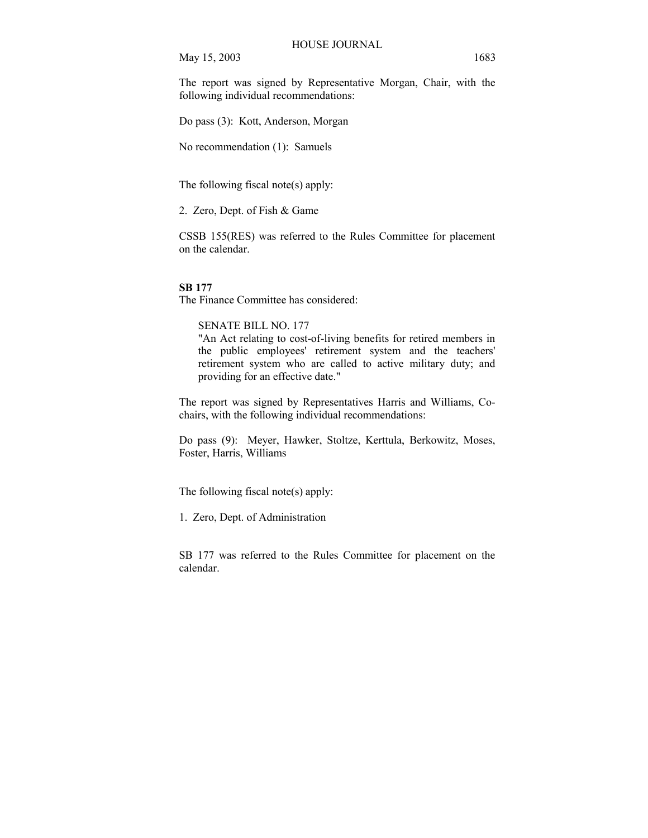The report was signed by Representative Morgan, Chair, with the following individual recommendations:

Do pass (3): Kott, Anderson, Morgan

No recommendation (1): Samuels

The following fiscal note(s) apply:

2. Zero, Dept. of Fish & Game

CSSB 155(RES) was referred to the Rules Committee for placement on the calendar.

#### **SB 177**

The Finance Committee has considered:

# SENATE BILL NO. 177

"An Act relating to cost-of-living benefits for retired members in the public employees' retirement system and the teachers' retirement system who are called to active military duty; and providing for an effective date."

The report was signed by Representatives Harris and Williams, Cochairs, with the following individual recommendations:

Do pass (9): Meyer, Hawker, Stoltze, Kerttula, Berkowitz, Moses, Foster, Harris, Williams

The following fiscal note(s) apply:

1. Zero, Dept. of Administration

SB 177 was referred to the Rules Committee for placement on the calendar.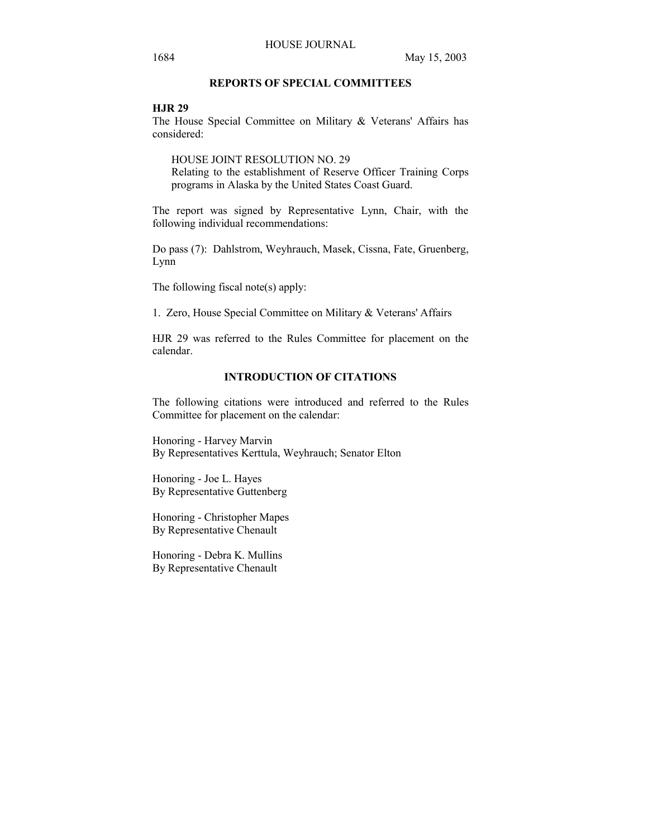# **REPORTS OF SPECIAL COMMITTEES**

## **HJR 29**

The House Special Committee on Military & Veterans' Affairs has considered:

HOUSE JOINT RESOLUTION NO. 29 Relating to the establishment of Reserve Officer Training Corps programs in Alaska by the United States Coast Guard.

The report was signed by Representative Lynn, Chair, with the following individual recommendations:

Do pass (7): Dahlstrom, Weyhrauch, Masek, Cissna, Fate, Gruenberg, Lynn

The following fiscal note(s) apply:

1. Zero, House Special Committee on Military & Veterans' Affairs

HJR 29 was referred to the Rules Committee for placement on the calendar.

## **INTRODUCTION OF CITATIONS**

The following citations were introduced and referred to the Rules Committee for placement on the calendar:

Honoring - Harvey Marvin By Representatives Kerttula, Weyhrauch; Senator Elton

Honoring - Joe L. Hayes By Representative Guttenberg

Honoring - Christopher Mapes By Representative Chenault

Honoring - Debra K. Mullins By Representative Chenault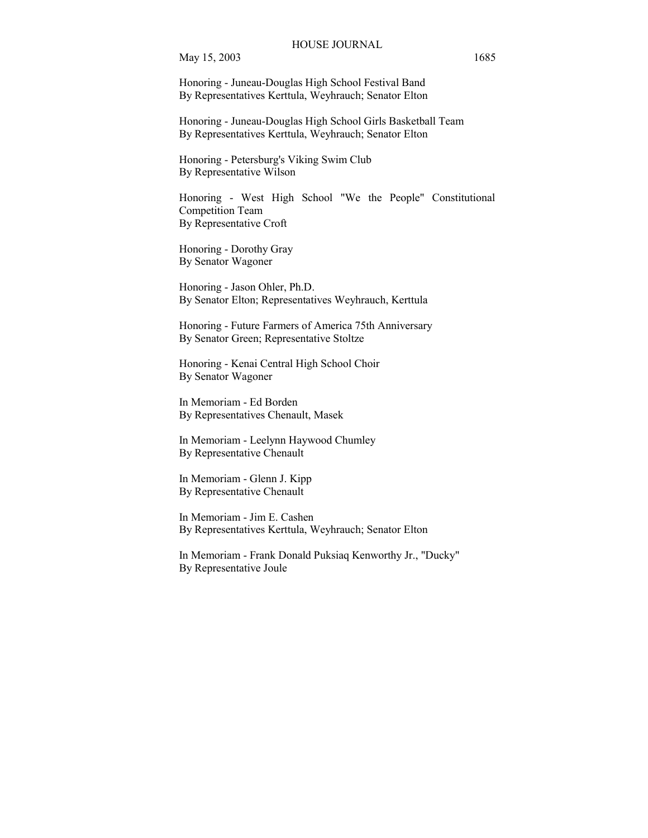Honoring - Juneau-Douglas High School Festival Band By Representatives Kerttula, Weyhrauch; Senator Elton

Honoring - Juneau-Douglas High School Girls Basketball Team By Representatives Kerttula, Weyhrauch; Senator Elton

Honoring - Petersburg's Viking Swim Club By Representative Wilson

Honoring - West High School "We the People" Constitutional Competition Team By Representative Croft

Honoring - Dorothy Gray By Senator Wagoner

Honoring - Jason Ohler, Ph.D. By Senator Elton; Representatives Weyhrauch, Kerttula

Honoring - Future Farmers of America 75th Anniversary By Senator Green; Representative Stoltze

Honoring - Kenai Central High School Choir By Senator Wagoner

In Memoriam - Ed Borden By Representatives Chenault, Masek

In Memoriam - Leelynn Haywood Chumley By Representative Chenault

In Memoriam - Glenn J. Kipp By Representative Chenault

In Memoriam - Jim E. Cashen By Representatives Kerttula, Weyhrauch; Senator Elton

In Memoriam - Frank Donald Puksiaq Kenworthy Jr., "Ducky" By Representative Joule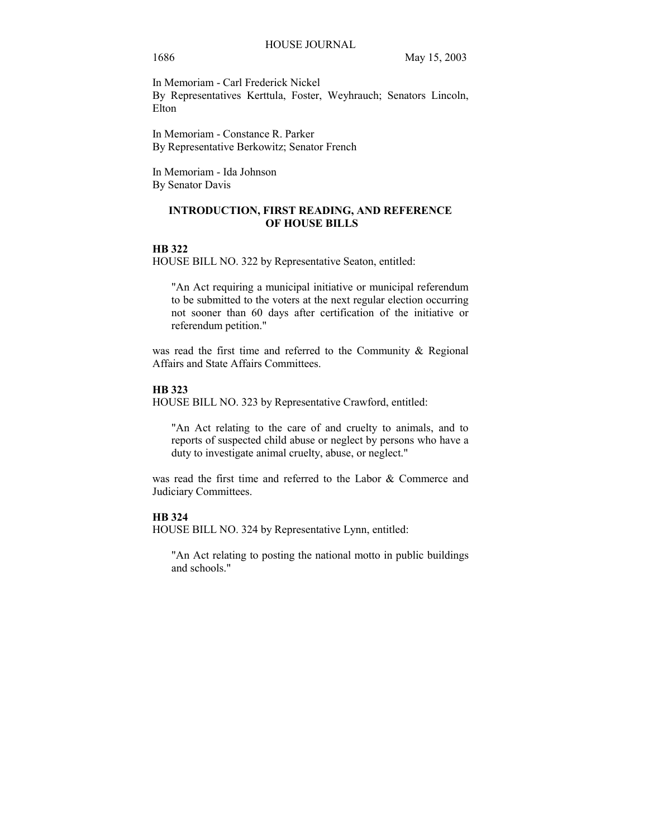## 1686 May 15, 2003

Elton

In Memoriam - Carl Frederick Nickel By Representatives Kerttula, Foster, Weyhrauch; Senators Lincoln,

In Memoriam - Constance R. Parker By Representative Berkowitz; Senator French

In Memoriam - Ida Johnson By Senator Davis

# **INTRODUCTION, FIRST READING, AND REFERENCE OF HOUSE BILLS**

#### **HB 322**

HOUSE BILL NO. 322 by Representative Seaton, entitled:

"An Act requiring a municipal initiative or municipal referendum to be submitted to the voters at the next regular election occurring not sooner than 60 days after certification of the initiative or referendum petition."

was read the first time and referred to the Community & Regional Affairs and State Affairs Committees.

# **HB 323**

HOUSE BILL NO. 323 by Representative Crawford, entitled:

"An Act relating to the care of and cruelty to animals, and to reports of suspected child abuse or neglect by persons who have a duty to investigate animal cruelty, abuse, or neglect."

was read the first time and referred to the Labor & Commerce and Judiciary Committees.

# **HB 324**

HOUSE BILL NO. 324 by Representative Lynn, entitled:

"An Act relating to posting the national motto in public buildings and schools."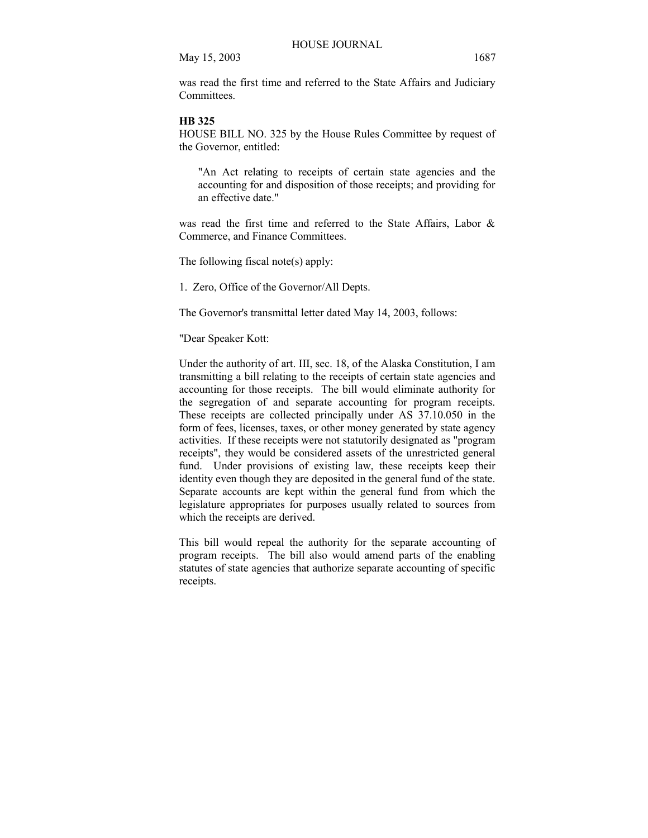was read the first time and referred to the State Affairs and Judiciary **Committees** 

#### **HB 325**

HOUSE BILL NO. 325 by the House Rules Committee by request of the Governor, entitled:

"An Act relating to receipts of certain state agencies and the accounting for and disposition of those receipts; and providing for an effective date."

was read the first time and referred to the State Affairs, Labor & Commerce, and Finance Committees.

The following fiscal note(s) apply:

1. Zero, Office of the Governor/All Depts.

The Governor's transmittal letter dated May 14, 2003, follows:

"Dear Speaker Kott:

Under the authority of art. III, sec. 18, of the Alaska Constitution, I am transmitting a bill relating to the receipts of certain state agencies and accounting for those receipts. The bill would eliminate authority for the segregation of and separate accounting for program receipts. These receipts are collected principally under AS 37.10.050 in the form of fees, licenses, taxes, or other money generated by state agency activities. If these receipts were not statutorily designated as "program receipts", they would be considered assets of the unrestricted general fund. Under provisions of existing law, these receipts keep their identity even though they are deposited in the general fund of the state. Separate accounts are kept within the general fund from which the legislature appropriates for purposes usually related to sources from which the receipts are derived.

This bill would repeal the authority for the separate accounting of program receipts. The bill also would amend parts of the enabling statutes of state agencies that authorize separate accounting of specific receipts.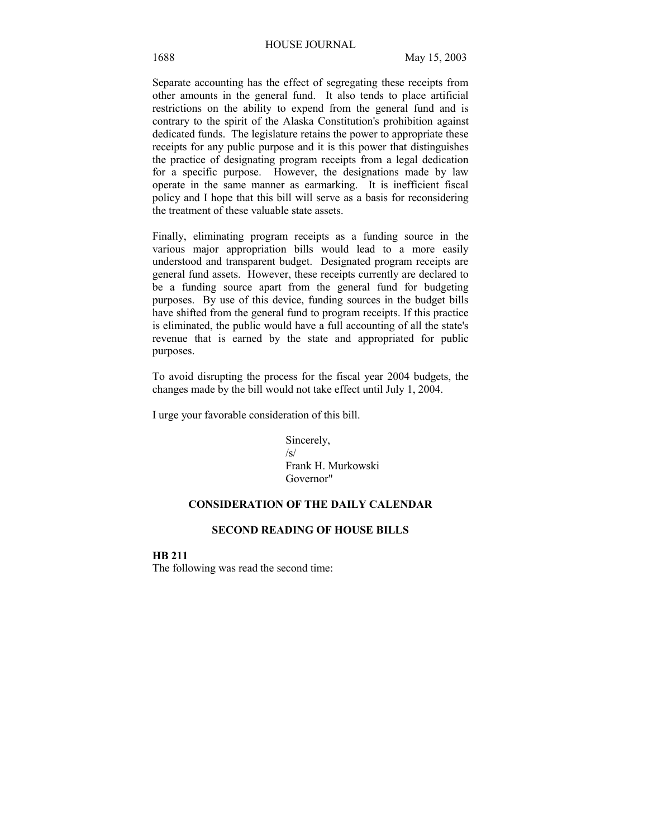Separate accounting has the effect of segregating these receipts from other amounts in the general fund. It also tends to place artificial restrictions on the ability to expend from the general fund and is contrary to the spirit of the Alaska Constitution's prohibition against dedicated funds. The legislature retains the power to appropriate these receipts for any public purpose and it is this power that distinguishes the practice of designating program receipts from a legal dedication for a specific purpose. However, the designations made by law operate in the same manner as earmarking. It is inefficient fiscal policy and I hope that this bill will serve as a basis for reconsidering the treatment of these valuable state assets.

Finally, eliminating program receipts as a funding source in the various major appropriation bills would lead to a more easily understood and transparent budget. Designated program receipts are general fund assets. However, these receipts currently are declared to be a funding source apart from the general fund for budgeting purposes. By use of this device, funding sources in the budget bills have shifted from the general fund to program receipts. If this practice is eliminated, the public would have a full accounting of all the state's revenue that is earned by the state and appropriated for public purposes.

To avoid disrupting the process for the fiscal year 2004 budgets, the changes made by the bill would not take effect until July 1, 2004.

I urge your favorable consideration of this bill.

Sincerely,  $\sqrt{s}$ Frank H. Murkowski Governor"

# **CONSIDERATION OF THE DAILY CALENDAR**

## **SECOND READING OF HOUSE BILLS**

**HB 211** 

The following was read the second time: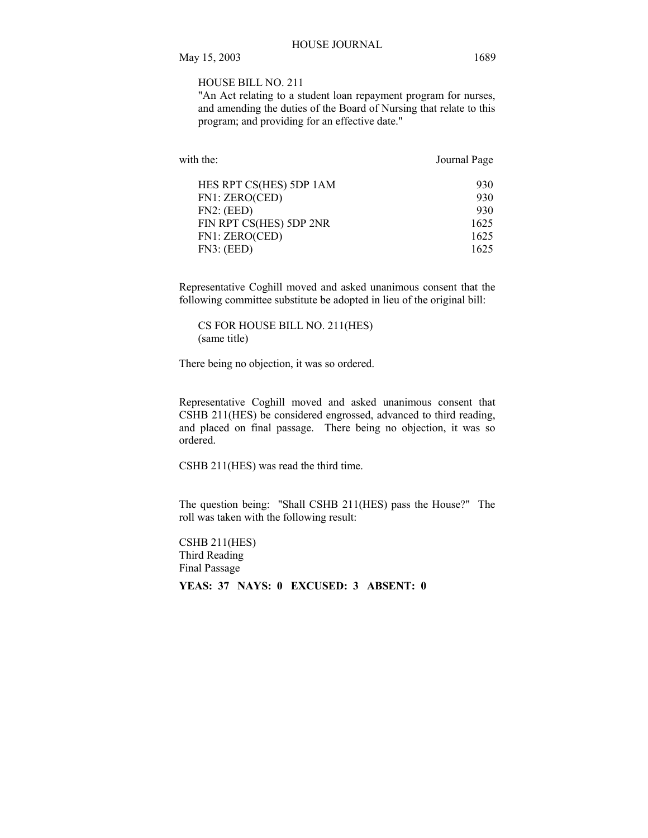## HOUSE BILL NO. 211

"An Act relating to a student loan repayment program for nurses, and amending the duties of the Board of Nursing that relate to this program; and providing for an effective date."

| with the:               | Journal Page |
|-------------------------|--------------|
| HES RPT CS(HES) 5DP 1AM | 930          |
| FN1: ZERO(CED)          | 930          |
| FN2: (EED)              | 930          |
| FIN RPT CS(HES) 5DP 2NR | 1625         |
| FN1: ZERO(CED)          | 1625         |
| FN3: (EED)              | 1625         |

Representative Coghill moved and asked unanimous consent that the following committee substitute be adopted in lieu of the original bill:

CS FOR HOUSE BILL NO. 211(HES) (same title)

There being no objection, it was so ordered.

Representative Coghill moved and asked unanimous consent that CSHB 211(HES) be considered engrossed, advanced to third reading, and placed on final passage. There being no objection, it was so ordered.

CSHB 211(HES) was read the third time.

The question being: "Shall CSHB 211(HES) pass the House?" The roll was taken with the following result:

CSHB 211(HES) Third Reading Final Passage **YEAS: 37 NAYS: 0 EXCUSED: 3 ABSENT: 0**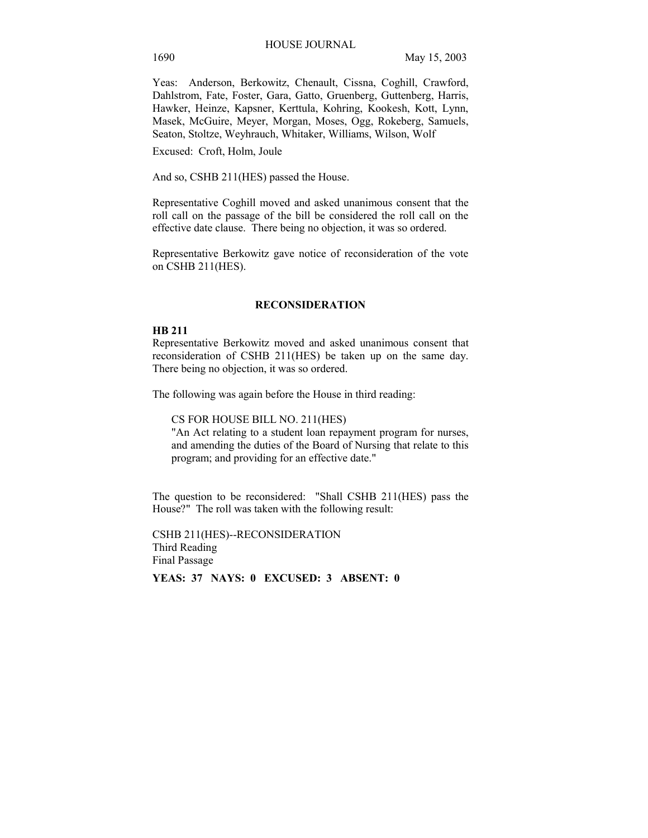Yeas: Anderson, Berkowitz, Chenault, Cissna, Coghill, Crawford, Dahlstrom, Fate, Foster, Gara, Gatto, Gruenberg, Guttenberg, Harris, Hawker, Heinze, Kapsner, Kerttula, Kohring, Kookesh, Kott, Lynn, Masek, McGuire, Meyer, Morgan, Moses, Ogg, Rokeberg, Samuels, Seaton, Stoltze, Weyhrauch, Whitaker, Williams, Wilson, Wolf

Excused: Croft, Holm, Joule

And so, CSHB 211(HES) passed the House.

Representative Coghill moved and asked unanimous consent that the roll call on the passage of the bill be considered the roll call on the effective date clause. There being no objection, it was so ordered.

Representative Berkowitz gave notice of reconsideration of the vote on CSHB 211(HES).

## **RECONSIDERATION**

#### **HB 211**

Representative Berkowitz moved and asked unanimous consent that reconsideration of CSHB 211(HES) be taken up on the same day. There being no objection, it was so ordered.

The following was again before the House in third reading:

CS FOR HOUSE BILL NO. 211(HES)

"An Act relating to a student loan repayment program for nurses, and amending the duties of the Board of Nursing that relate to this program; and providing for an effective date."

The question to be reconsidered: "Shall CSHB 211(HES) pass the House?" The roll was taken with the following result:

CSHB 211(HES)--RECONSIDERATION Third Reading Final Passage

**YEAS: 37 NAYS: 0 EXCUSED: 3 ABSENT: 0**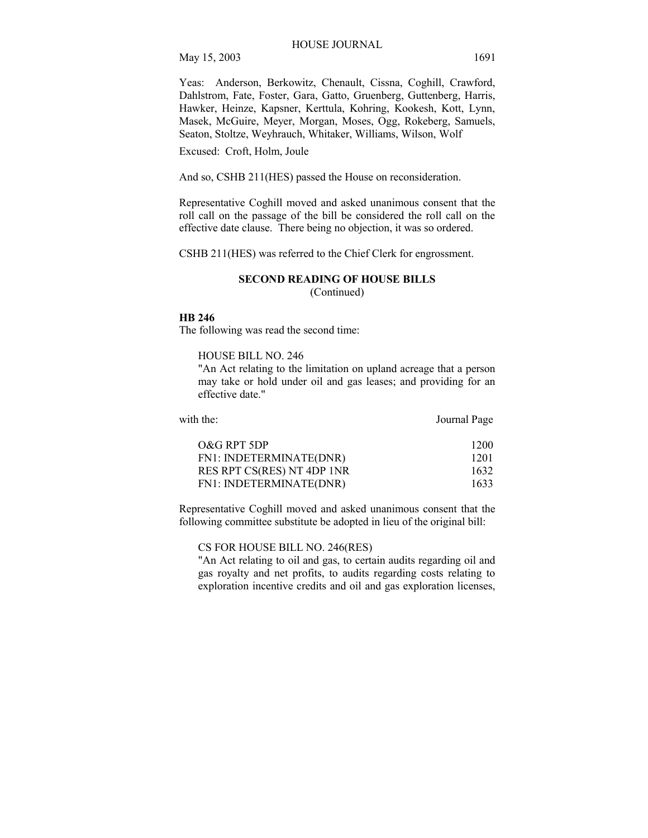Yeas: Anderson, Berkowitz, Chenault, Cissna, Coghill, Crawford, Dahlstrom, Fate, Foster, Gara, Gatto, Gruenberg, Guttenberg, Harris, Hawker, Heinze, Kapsner, Kerttula, Kohring, Kookesh, Kott, Lynn, Masek, McGuire, Meyer, Morgan, Moses, Ogg, Rokeberg, Samuels, Seaton, Stoltze, Weyhrauch, Whitaker, Williams, Wilson, Wolf

Excused: Croft, Holm, Joule

And so, CSHB 211(HES) passed the House on reconsideration.

Representative Coghill moved and asked unanimous consent that the roll call on the passage of the bill be considered the roll call on the effective date clause. There being no objection, it was so ordered.

CSHB 211(HES) was referred to the Chief Clerk for engrossment.

#### **SECOND READING OF HOUSE BILLS**  (Continued)

## **HB 246**

The following was read the second time:

HOUSE BILL NO. 246

"An Act relating to the limitation on upland acreage that a person may take or hold under oil and gas leases; and providing for an effective date."

| with the:                  | Journal Page |
|----------------------------|--------------|
| O&G RPT 5DP                | 1200         |
| FN1: INDETERMINATE(DNR)    | 1201         |
| RES RPT CS(RES) NT 4DP 1NR | 1632         |
| FN1: INDETERMINATE(DNR)    | 1633         |

Representative Coghill moved and asked unanimous consent that the following committee substitute be adopted in lieu of the original bill:

CS FOR HOUSE BILL NO. 246(RES)

"An Act relating to oil and gas, to certain audits regarding oil and gas royalty and net profits, to audits regarding costs relating to exploration incentive credits and oil and gas exploration licenses,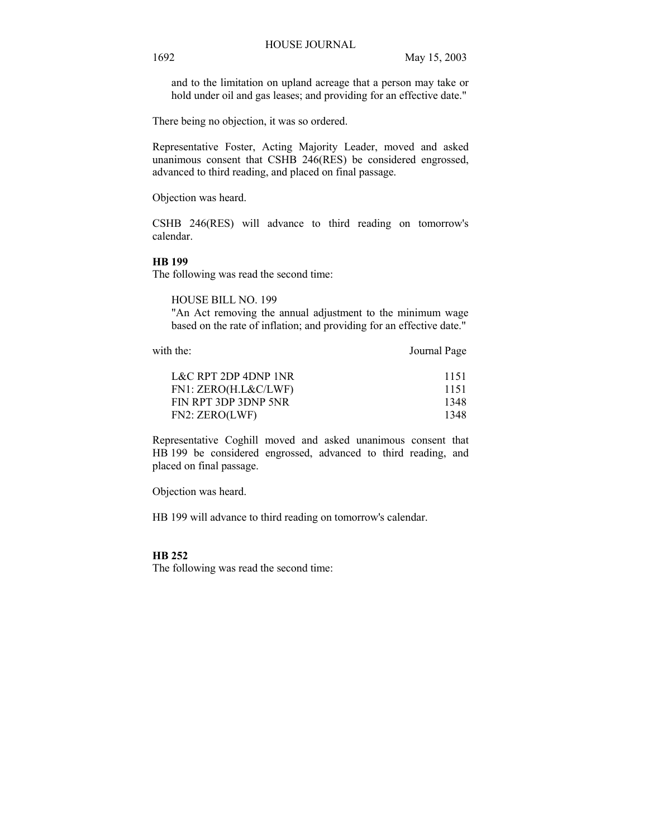and to the limitation on upland acreage that a person may take or hold under oil and gas leases; and providing for an effective date."

There being no objection, it was so ordered.

Representative Foster, Acting Majority Leader, moved and asked unanimous consent that CSHB 246(RES) be considered engrossed, advanced to third reading, and placed on final passage.

Objection was heard.

CSHB 246(RES) will advance to third reading on tomorrow's calendar.

# **HB 199**

The following was read the second time:

HOUSE BILL NO. 199

"An Act removing the annual adjustment to the minimum wage based on the rate of inflation; and providing for an effective date."

with the: Journal Page

| 1151 |
|------|
| 1151 |
| 1348 |
| 1348 |
|      |

Representative Coghill moved and asked unanimous consent that HB 199 be considered engrossed, advanced to third reading, and placed on final passage.

Objection was heard.

HB 199 will advance to third reading on tomorrow's calendar.

#### **HB 252**

The following was read the second time: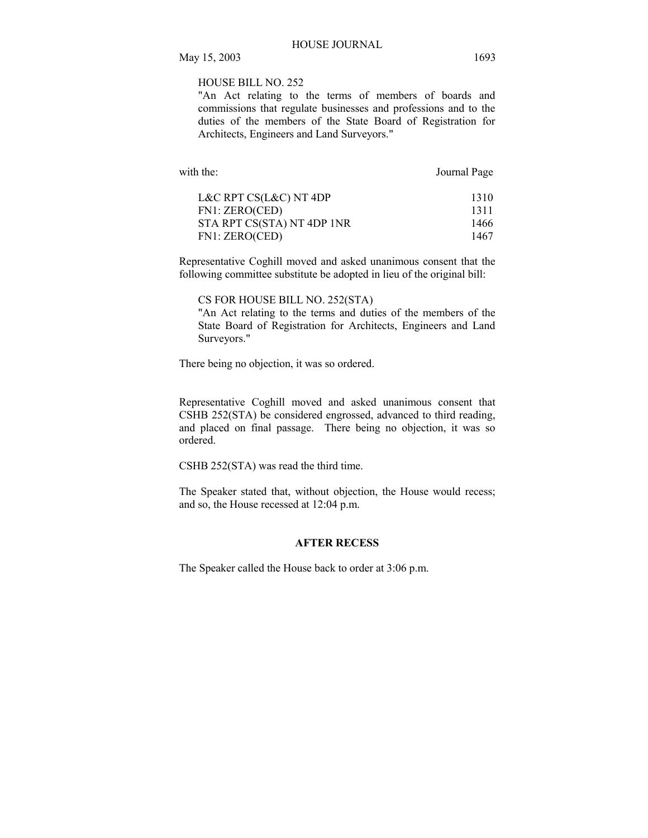# HOUSE BILL NO. 252

"An Act relating to the terms of members of boards and commissions that regulate businesses and professions and to the duties of the members of the State Board of Registration for Architects, Engineers and Land Surveyors."

with the: Journal Page

| 1310 |
|------|
| 1311 |
| 1466 |
| 1467 |
|      |

Representative Coghill moved and asked unanimous consent that the following committee substitute be adopted in lieu of the original bill:

CS FOR HOUSE BILL NO. 252(STA)

"An Act relating to the terms and duties of the members of the State Board of Registration for Architects, Engineers and Land Surveyors."

There being no objection, it was so ordered.

Representative Coghill moved and asked unanimous consent that CSHB 252(STA) be considered engrossed, advanced to third reading, and placed on final passage. There being no objection, it was so ordered.

CSHB 252(STA) was read the third time.

The Speaker stated that, without objection, the House would recess; and so, the House recessed at 12:04 p.m.

# **AFTER RECESS**

The Speaker called the House back to order at 3:06 p.m.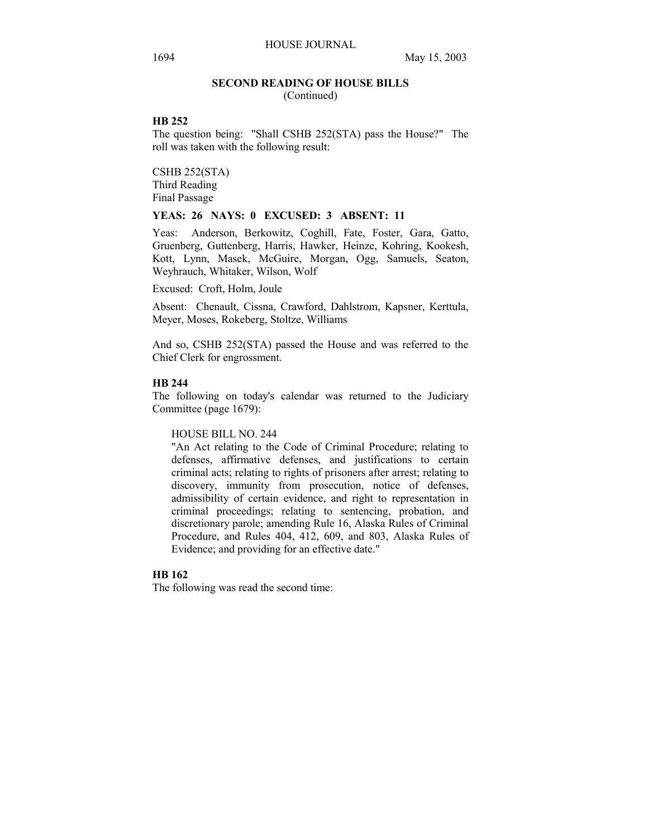## **SECOND READING OF HOUSE BILLS**

(Continued)

# **HB 252**

The question being: "Shall CSHB 252(STA) pass the House?" The roll was taken with the following result:

CSHB 252(STA) Third Reading Final Passage

# **YEAS: 26 NAYS: 0 EXCUSED: 3 ABSENT: 11**

Yeas: Anderson, Berkowitz, Coghill, Fate, Foster, Gara, Gatto, Gruenberg, Guttenberg, Harris, Hawker, Heinze, Kohring, Kookesh, Kott, Lynn, Masek, McGuire, Morgan, Ogg, Samuels, Seaton, Weyhrauch, Whitaker, Wilson, Wolf

Excused: Croft, Holm, Joule

Absent: Chenault, Cissna, Crawford, Dahlstrom, Kapsner, Kerttula, Meyer, Moses, Rokeberg, Stoltze, Williams

And so, CSHB 252(STA) passed the House and was referred to the Chief Clerk for engrossment.

## **HB 244**

The following on today's calendar was returned to the Judiciary Committee (page 1679):

HOUSE BILL NO. 244

"An Act relating to the Code of Criminal Procedure; relating to defenses, affirmative defenses, and justifications to certain criminal acts; relating to rights of prisoners after arrest; relating to discovery, immunity from prosecution, notice of defenses, admissibility of certain evidence, and right to representation in criminal proceedings; relating to sentencing, probation, and discretionary parole; amending Rule 16, Alaska Rules of Criminal Procedure, and Rules 404, 412, 609, and 803, Alaska Rules of Evidence; and providing for an effective date."

## **HB 162**

The following was read the second time: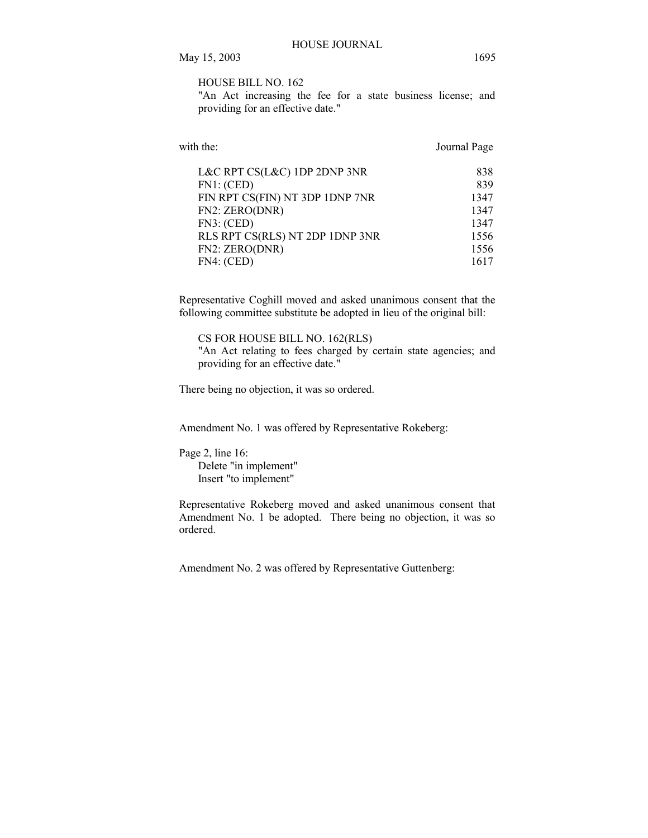HOUSE BILL NO. 162

"An Act increasing the fee for a state business license; and providing for an effective date."

| with the:                       | Journal Page |
|---------------------------------|--------------|
| L&C RPT CS(L&C) 1DP 2DNP 3NR    | 838          |
| FN1: (CED)                      | 839          |
| FIN RPT CS(FIN) NT 3DP 1DNP 7NR | 1347         |
| FN2: ZERO(DNR)                  | 1347         |
| FN3: (CED)                      | 1347         |
| RLS RPT CS(RLS) NT 2DP 1DNP 3NR | 1556         |
| FN2: ZERO(DNR)                  | 1556         |
| FN4: (CED)                      | 1617         |
|                                 |              |

Representative Coghill moved and asked unanimous consent that the following committee substitute be adopted in lieu of the original bill:

CS FOR HOUSE BILL NO. 162(RLS) "An Act relating to fees charged by certain state agencies; and providing for an effective date."

There being no objection, it was so ordered.

Amendment No. 1 was offered by Representative Rokeberg:

Page 2, line 16: Delete "in implement" Insert "to implement"

Representative Rokeberg moved and asked unanimous consent that Amendment No. 1 be adopted. There being no objection, it was so ordered.

Amendment No. 2 was offered by Representative Guttenberg: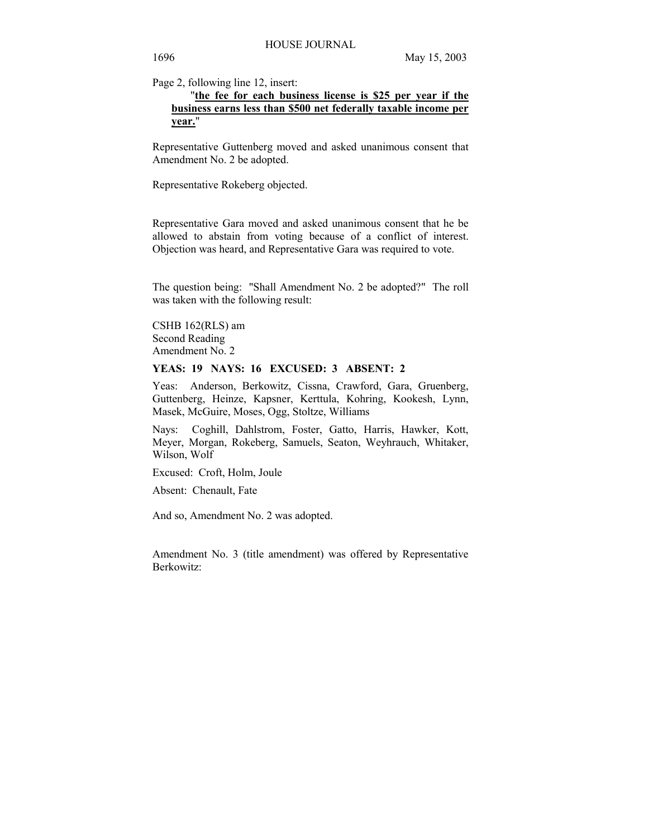Page 2, following line 12, insert:

# "**the fee for each business license is \$25 per year if the business earns less than \$500 net federally taxable income per year.**"

Representative Guttenberg moved and asked unanimous consent that Amendment No. 2 be adopted.

Representative Rokeberg objected.

Representative Gara moved and asked unanimous consent that he be allowed to abstain from voting because of a conflict of interest. Objection was heard, and Representative Gara was required to vote.

The question being: "Shall Amendment No. 2 be adopted?" The roll was taken with the following result:

CSHB 162(RLS) am Second Reading Amendment No. 2

## **YEAS: 19 NAYS: 16 EXCUSED: 3 ABSENT: 2**

Yeas: Anderson, Berkowitz, Cissna, Crawford, Gara, Gruenberg, Guttenberg, Heinze, Kapsner, Kerttula, Kohring, Kookesh, Lynn, Masek, McGuire, Moses, Ogg, Stoltze, Williams

Nays: Coghill, Dahlstrom, Foster, Gatto, Harris, Hawker, Kott, Meyer, Morgan, Rokeberg, Samuels, Seaton, Weyhrauch, Whitaker, Wilson, Wolf

Excused: Croft, Holm, Joule

Absent: Chenault, Fate

And so, Amendment No. 2 was adopted.

Amendment No. 3 (title amendment) was offered by Representative Berkowitz: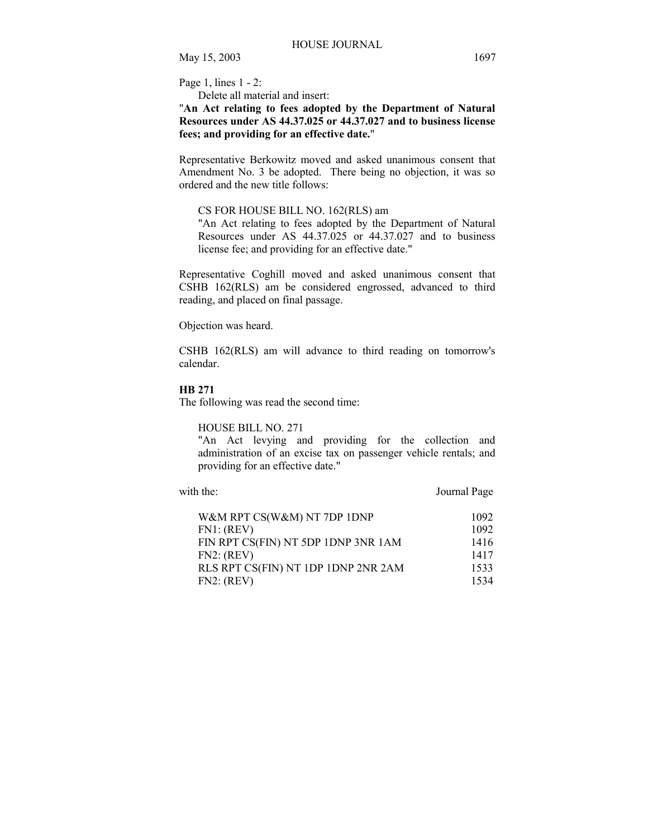Page 1, lines 1 - 2:

Delete all material and insert:

"**An Act relating to fees adopted by the Department of Natural Resources under AS 44.37.025 or 44.37.027 and to business license fees; and providing for an effective date.**"

Representative Berkowitz moved and asked unanimous consent that Amendment No. 3 be adopted. There being no objection, it was so ordered and the new title follows:

# CS FOR HOUSE BILL NO. 162(RLS) am

"An Act relating to fees adopted by the Department of Natural Resources under AS 44.37.025 or 44.37.027 and to business license fee; and providing for an effective date."

Representative Coghill moved and asked unanimous consent that CSHB 162(RLS) am be considered engrossed, advanced to third reading, and placed on final passage.

Objection was heard.

CSHB 162(RLS) am will advance to third reading on tomorrow's calendar.

# **HB 271**

The following was read the second time:

## HOUSE BILL NO. 271

"An Act levying and providing for the collection and administration of an excise tax on passenger vehicle rentals; and providing for an effective date."

with the: Journal Page

| W&M RPT CS(W&M) NT 7DP 1DNP         | 1092 |
|-------------------------------------|------|
| FN1: (REV)                          | 1092 |
| FIN RPT CS(FIN) NT 5DP 1DNP 3NR 1AM | 1416 |
| FN2: (REV)                          | 1417 |
| RLS RPT CS(FIN) NT 1DP 1DNP 2NR 2AM | 1533 |
| FN2: (REV)                          | 1534 |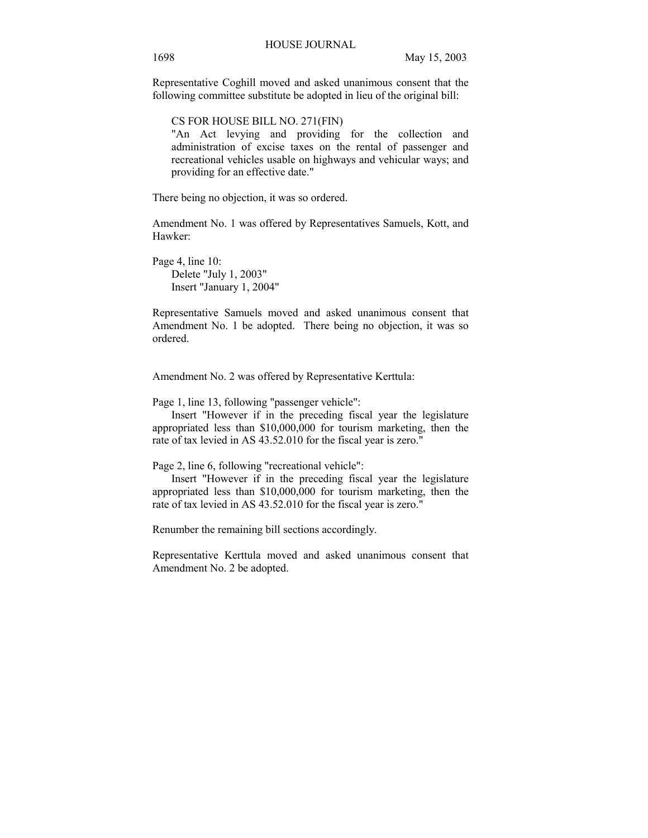Representative Coghill moved and asked unanimous consent that the following committee substitute be adopted in lieu of the original bill:

CS FOR HOUSE BILL NO. 271(FIN)

"An Act levying and providing for the collection and administration of excise taxes on the rental of passenger and recreational vehicles usable on highways and vehicular ways; and providing for an effective date."

There being no objection, it was so ordered.

Amendment No. 1 was offered by Representatives Samuels, Kott, and Hawker:

Page 4, line 10: Delete "July 1, 2003" Insert "January 1, 2004"

Representative Samuels moved and asked unanimous consent that Amendment No. 1 be adopted. There being no objection, it was so ordered.

Amendment No. 2 was offered by Representative Kerttula:

Page 1, line 13, following "passenger vehicle":

 Insert "However if in the preceding fiscal year the legislature appropriated less than \$10,000,000 for tourism marketing, then the rate of tax levied in AS 43.52.010 for the fiscal year is zero."

Page 2, line 6, following "recreational vehicle":

 Insert "However if in the preceding fiscal year the legislature appropriated less than \$10,000,000 for tourism marketing, then the rate of tax levied in AS 43.52.010 for the fiscal year is zero."

Renumber the remaining bill sections accordingly.

Representative Kerttula moved and asked unanimous consent that Amendment No. 2 be adopted.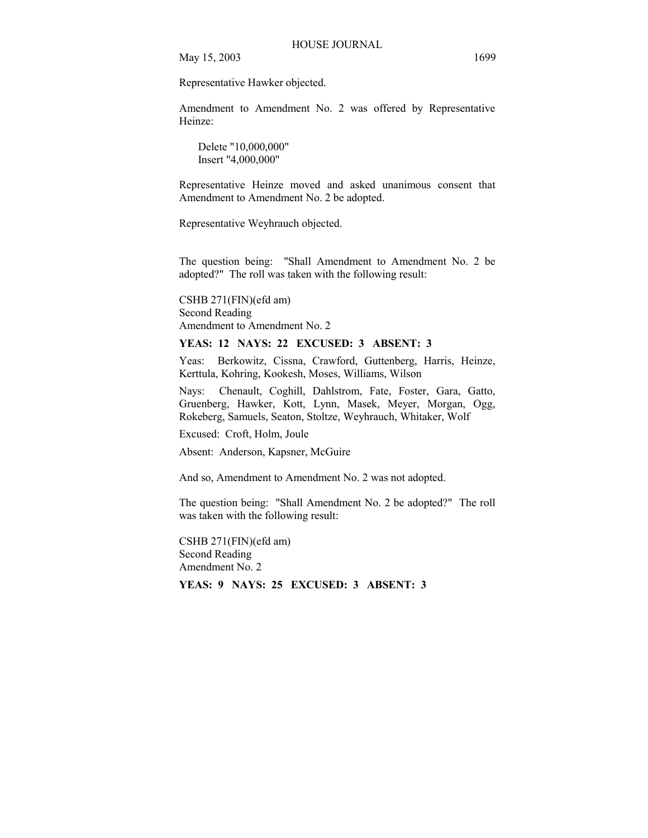Representative Hawker objected.

Amendment to Amendment No. 2 was offered by Representative Heinze:

 Delete "10,000,000" Insert "4,000,000"

Representative Heinze moved and asked unanimous consent that Amendment to Amendment No. 2 be adopted.

Representative Weyhrauch objected.

The question being: "Shall Amendment to Amendment No. 2 be adopted?" The roll was taken with the following result:

CSHB 271(FIN)(efd am) Second Reading Amendment to Amendment No. 2

# **YEAS: 12 NAYS: 22 EXCUSED: 3 ABSENT: 3**

Yeas: Berkowitz, Cissna, Crawford, Guttenberg, Harris, Heinze, Kerttula, Kohring, Kookesh, Moses, Williams, Wilson

Nays: Chenault, Coghill, Dahlstrom, Fate, Foster, Gara, Gatto, Gruenberg, Hawker, Kott, Lynn, Masek, Meyer, Morgan, Ogg, Rokeberg, Samuels, Seaton, Stoltze, Weyhrauch, Whitaker, Wolf

Excused: Croft, Holm, Joule

Absent: Anderson, Kapsner, McGuire

And so, Amendment to Amendment No. 2 was not adopted.

The question being: "Shall Amendment No. 2 be adopted?" The roll was taken with the following result:

CSHB 271(FIN)(efd am) Second Reading Amendment No. 2 **YEAS: 9 NAYS: 25 EXCUSED: 3 ABSENT: 3**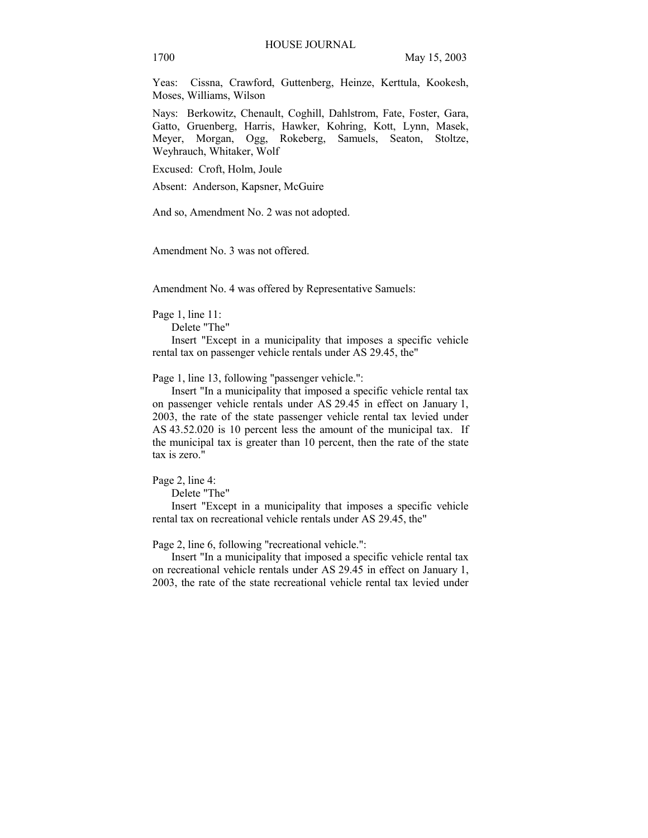Yeas: Cissna, Crawford, Guttenberg, Heinze, Kerttula, Kookesh, Moses, Williams, Wilson

Nays: Berkowitz, Chenault, Coghill, Dahlstrom, Fate, Foster, Gara, Gatto, Gruenberg, Harris, Hawker, Kohring, Kott, Lynn, Masek, Meyer, Morgan, Ogg, Rokeberg, Samuels, Seaton, Stoltze, Weyhrauch, Whitaker, Wolf

Excused: Croft, Holm, Joule

Absent: Anderson, Kapsner, McGuire

And so, Amendment No. 2 was not adopted.

Amendment No. 3 was not offered.

Amendment No. 4 was offered by Representative Samuels:

Page 1, line 11:

Delete "The"

 Insert "Except in a municipality that imposes a specific vehicle rental tax on passenger vehicle rentals under AS 29.45, the"

Page 1, line 13, following "passenger vehicle.":

 Insert "In a municipality that imposed a specific vehicle rental tax on passenger vehicle rentals under AS 29.45 in effect on January 1, 2003, the rate of the state passenger vehicle rental tax levied under AS 43.52.020 is 10 percent less the amount of the municipal tax. If the municipal tax is greater than 10 percent, then the rate of the state tax is zero."

Page 2, line 4:

Delete "The"

 Insert "Except in a municipality that imposes a specific vehicle rental tax on recreational vehicle rentals under AS 29.45, the"

Page 2, line 6, following "recreational vehicle.":

 Insert "In a municipality that imposed a specific vehicle rental tax on recreational vehicle rentals under AS 29.45 in effect on January 1, 2003, the rate of the state recreational vehicle rental tax levied under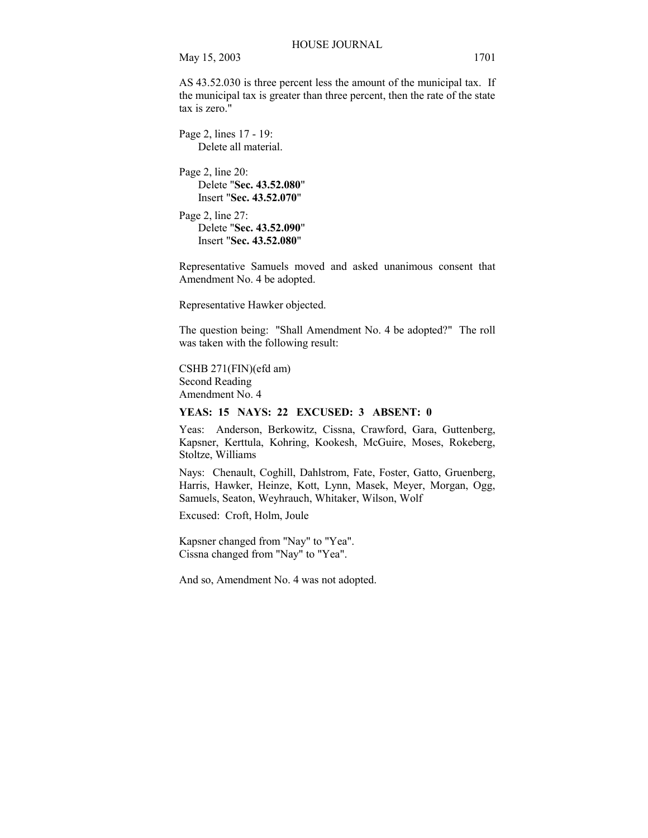AS 43.52.030 is three percent less the amount of the municipal tax. If the municipal tax is greater than three percent, then the rate of the state tax is zero."

Page 2, lines 17 - 19: Delete all material.

Page 2, line 20: Delete "**Sec. 43.52.080**" Insert "**Sec. 43.52.070**"

Page 2, line 27: Delete "**Sec. 43.52.090**" Insert "**Sec. 43.52.080**"

Representative Samuels moved and asked unanimous consent that Amendment No. 4 be adopted.

Representative Hawker objected.

The question being: "Shall Amendment No. 4 be adopted?" The roll was taken with the following result:

CSHB 271(FIN)(efd am) Second Reading Amendment No. 4

#### **YEAS: 15 NAYS: 22 EXCUSED: 3 ABSENT: 0**

Yeas: Anderson, Berkowitz, Cissna, Crawford, Gara, Guttenberg, Kapsner, Kerttula, Kohring, Kookesh, McGuire, Moses, Rokeberg, Stoltze, Williams

Nays: Chenault, Coghill, Dahlstrom, Fate, Foster, Gatto, Gruenberg, Harris, Hawker, Heinze, Kott, Lynn, Masek, Meyer, Morgan, Ogg, Samuels, Seaton, Weyhrauch, Whitaker, Wilson, Wolf

Excused: Croft, Holm, Joule

Kapsner changed from "Nay" to "Yea". Cissna changed from "Nay" to "Yea".

And so, Amendment No. 4 was not adopted.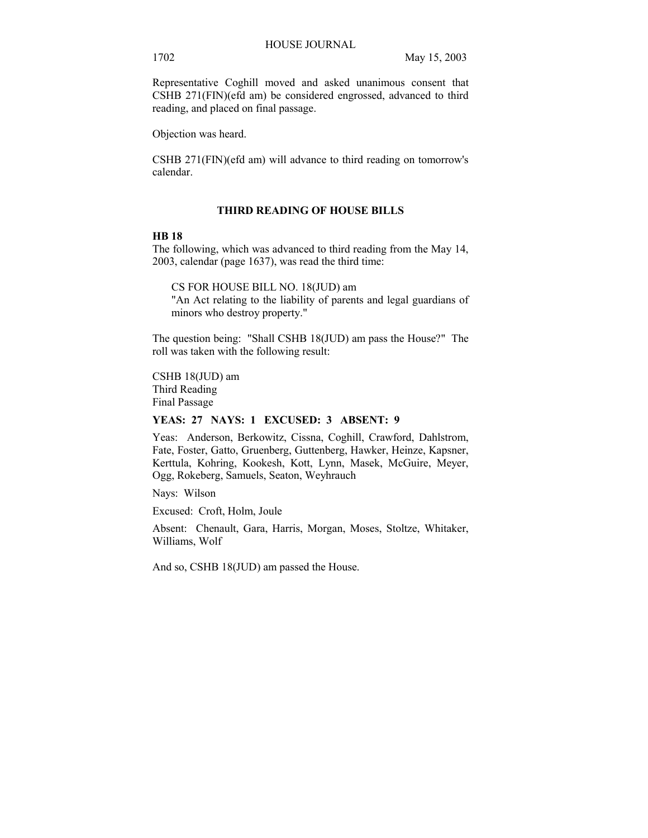Representative Coghill moved and asked unanimous consent that CSHB 271(FIN)(efd am) be considered engrossed, advanced to third reading, and placed on final passage.

Objection was heard.

CSHB 271(FIN)(efd am) will advance to third reading on tomorrow's calendar.

# **THIRD READING OF HOUSE BILLS**

## **HB 18**

The following, which was advanced to third reading from the May 14, 2003, calendar (page 1637), was read the third time:

CS FOR HOUSE BILL NO. 18(JUD) am "An Act relating to the liability of parents and legal guardians of minors who destroy property."

The question being: "Shall CSHB 18(JUD) am pass the House?" The roll was taken with the following result:

CSHB 18(JUD) am Third Reading Final Passage

# **YEAS: 27 NAYS: 1 EXCUSED: 3 ABSENT: 9**

Yeas: Anderson, Berkowitz, Cissna, Coghill, Crawford, Dahlstrom, Fate, Foster, Gatto, Gruenberg, Guttenberg, Hawker, Heinze, Kapsner, Kerttula, Kohring, Kookesh, Kott, Lynn, Masek, McGuire, Meyer, Ogg, Rokeberg, Samuels, Seaton, Weyhrauch

Nays: Wilson

Excused: Croft, Holm, Joule

Absent: Chenault, Gara, Harris, Morgan, Moses, Stoltze, Whitaker, Williams, Wolf

And so, CSHB 18(JUD) am passed the House.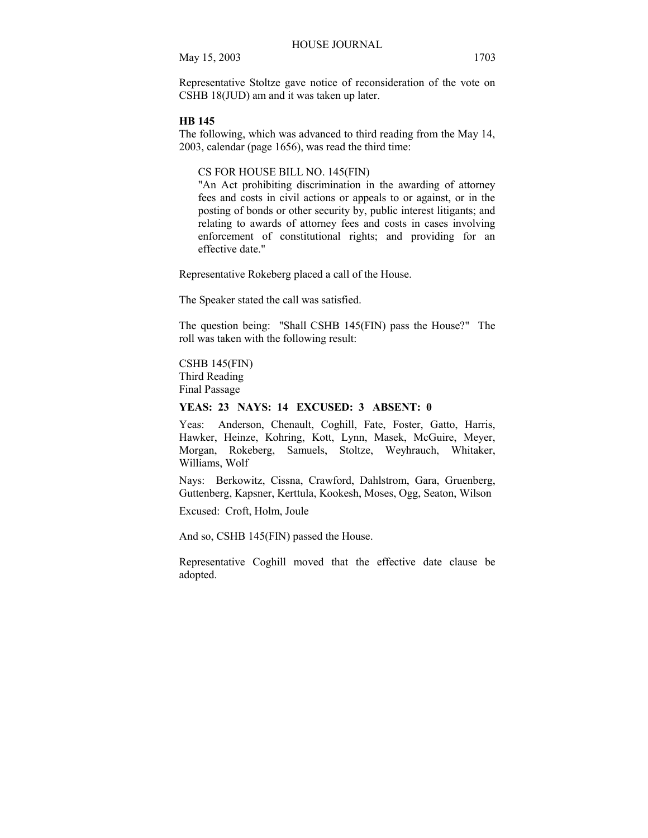Representative Stoltze gave notice of reconsideration of the vote on CSHB 18(JUD) am and it was taken up later.

#### **HB 145**

The following, which was advanced to third reading from the May 14, 2003, calendar (page 1656), was read the third time:

#### CS FOR HOUSE BILL NO. 145(FIN)

"An Act prohibiting discrimination in the awarding of attorney fees and costs in civil actions or appeals to or against, or in the posting of bonds or other security by, public interest litigants; and relating to awards of attorney fees and costs in cases involving enforcement of constitutional rights; and providing for an effective date."

Representative Rokeberg placed a call of the House.

The Speaker stated the call was satisfied.

The question being: "Shall CSHB 145(FIN) pass the House?" The roll was taken with the following result:

## CSHB 145(FIN) Third Reading Final Passage

# **YEAS: 23 NAYS: 14 EXCUSED: 3 ABSENT: 0**

Yeas: Anderson, Chenault, Coghill, Fate, Foster, Gatto, Harris, Hawker, Heinze, Kohring, Kott, Lynn, Masek, McGuire, Meyer, Morgan, Rokeberg, Samuels, Stoltze, Weyhrauch, Whitaker, Williams, Wolf

Nays: Berkowitz, Cissna, Crawford, Dahlstrom, Gara, Gruenberg, Guttenberg, Kapsner, Kerttula, Kookesh, Moses, Ogg, Seaton, Wilson

Excused: Croft, Holm, Joule

And so, CSHB 145(FIN) passed the House.

Representative Coghill moved that the effective date clause be adopted.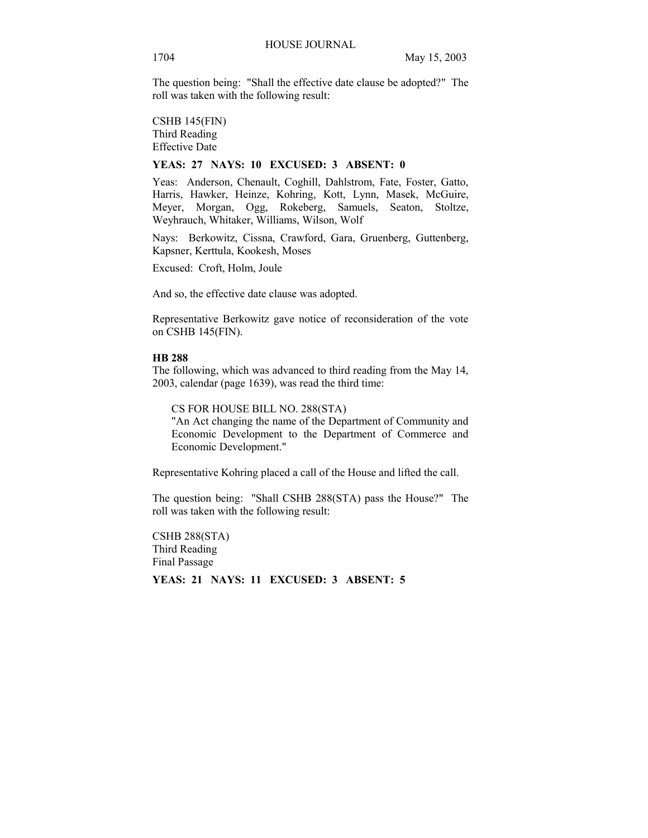The question being: "Shall the effective date clause be adopted?" The roll was taken with the following result:

CSHB 145(FIN) Third Reading Effective Date

#### **YEAS: 27 NAYS: 10 EXCUSED: 3 ABSENT: 0**

Yeas: Anderson, Chenault, Coghill, Dahlstrom, Fate, Foster, Gatto, Harris, Hawker, Heinze, Kohring, Kott, Lynn, Masek, McGuire, Meyer, Morgan, Ogg, Rokeberg, Samuels, Seaton, Stoltze, Weyhrauch, Whitaker, Williams, Wilson, Wolf

Nays: Berkowitz, Cissna, Crawford, Gara, Gruenberg, Guttenberg, Kapsner, Kerttula, Kookesh, Moses

Excused: Croft, Holm, Joule

And so, the effective date clause was adopted.

Representative Berkowitz gave notice of reconsideration of the vote on CSHB 145(FIN).

#### **HB 288**

The following, which was advanced to third reading from the May 14, 2003, calendar (page 1639), was read the third time:

CS FOR HOUSE BILL NO. 288(STA)

"An Act changing the name of the Department of Community and Economic Development to the Department of Commerce and Economic Development."

Representative Kohring placed a call of the House and lifted the call.

The question being: "Shall CSHB 288(STA) pass the House?" The roll was taken with the following result:

CSHB 288(STA) Third Reading Final Passage

**YEAS: 21 NAYS: 11 EXCUSED: 3 ABSENT: 5**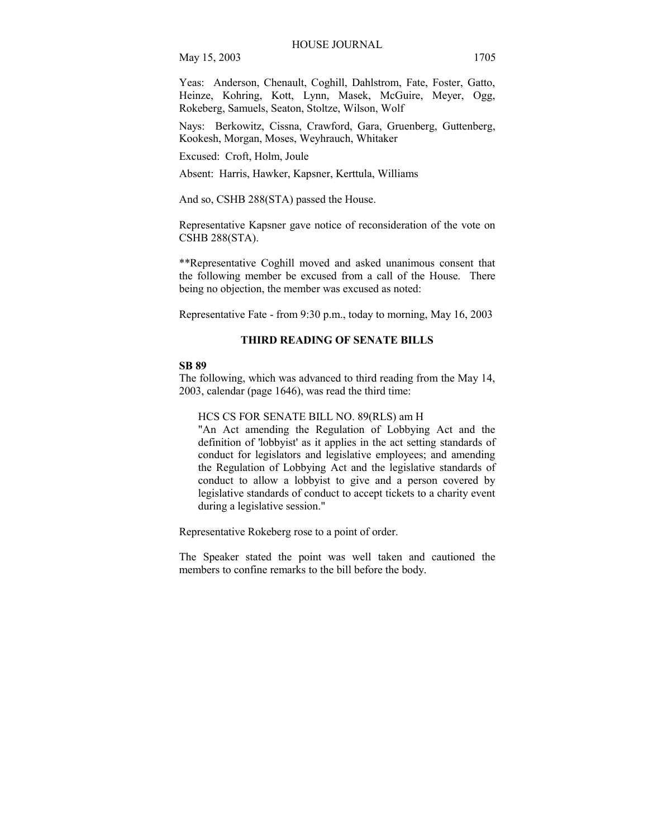Yeas: Anderson, Chenault, Coghill, Dahlstrom, Fate, Foster, Gatto, Heinze, Kohring, Kott, Lynn, Masek, McGuire, Meyer, Ogg, Rokeberg, Samuels, Seaton, Stoltze, Wilson, Wolf

Nays: Berkowitz, Cissna, Crawford, Gara, Gruenberg, Guttenberg, Kookesh, Morgan, Moses, Weyhrauch, Whitaker

Excused: Croft, Holm, Joule

Absent: Harris, Hawker, Kapsner, Kerttula, Williams

And so, CSHB 288(STA) passed the House.

Representative Kapsner gave notice of reconsideration of the vote on CSHB 288(STA).

\*\*Representative Coghill moved and asked unanimous consent that the following member be excused from a call of the House. There being no objection, the member was excused as noted:

Representative Fate - from 9:30 p.m., today to morning, May 16, 2003

# **THIRD READING OF SENATE BILLS**

## **SB 89**

The following, which was advanced to third reading from the May 14, 2003, calendar (page 1646), was read the third time:

HCS CS FOR SENATE BILL NO. 89(RLS) am H

"An Act amending the Regulation of Lobbying Act and the definition of 'lobbyist' as it applies in the act setting standards of conduct for legislators and legislative employees; and amending the Regulation of Lobbying Act and the legislative standards of conduct to allow a lobbyist to give and a person covered by legislative standards of conduct to accept tickets to a charity event during a legislative session."

Representative Rokeberg rose to a point of order.

The Speaker stated the point was well taken and cautioned the members to confine remarks to the bill before the body.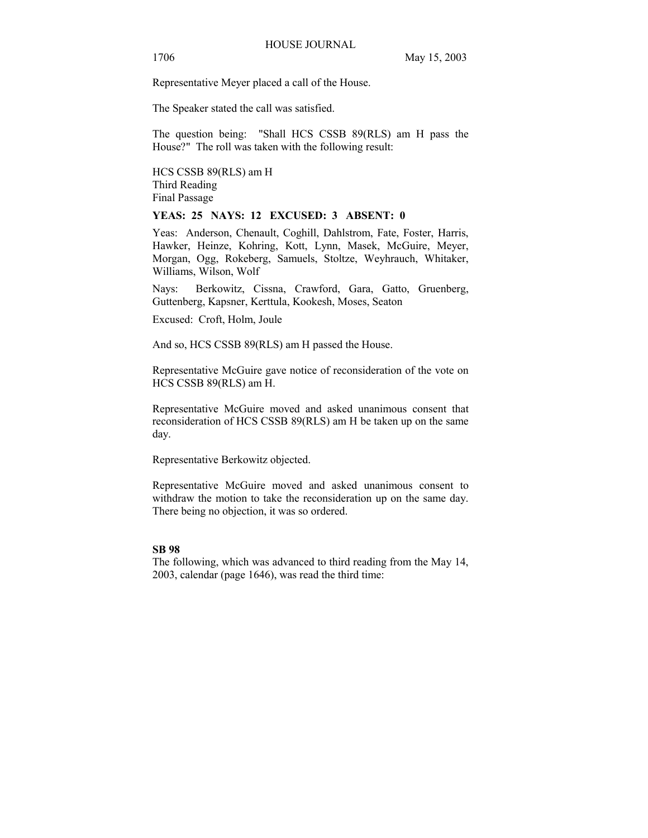Representative Meyer placed a call of the House.

The Speaker stated the call was satisfied.

The question being: "Shall HCS CSSB 89(RLS) am H pass the House?" The roll was taken with the following result:

HCS CSSB 89(RLS) am H Third Reading Final Passage

#### **YEAS: 25 NAYS: 12 EXCUSED: 3 ABSENT: 0**

Yeas: Anderson, Chenault, Coghill, Dahlstrom, Fate, Foster, Harris, Hawker, Heinze, Kohring, Kott, Lynn, Masek, McGuire, Meyer, Morgan, Ogg, Rokeberg, Samuels, Stoltze, Weyhrauch, Whitaker, Williams, Wilson, Wolf

Nays: Berkowitz, Cissna, Crawford, Gara, Gatto, Gruenberg, Guttenberg, Kapsner, Kerttula, Kookesh, Moses, Seaton

Excused: Croft, Holm, Joule

And so, HCS CSSB 89(RLS) am H passed the House.

Representative McGuire gave notice of reconsideration of the vote on HCS CSSB 89(RLS) am H.

Representative McGuire moved and asked unanimous consent that reconsideration of HCS CSSB 89(RLS) am H be taken up on the same day.

Representative Berkowitz objected.

Representative McGuire moved and asked unanimous consent to withdraw the motion to take the reconsideration up on the same day. There being no objection, it was so ordered.

## **SB 98**

The following, which was advanced to third reading from the May 14, 2003, calendar (page 1646), was read the third time: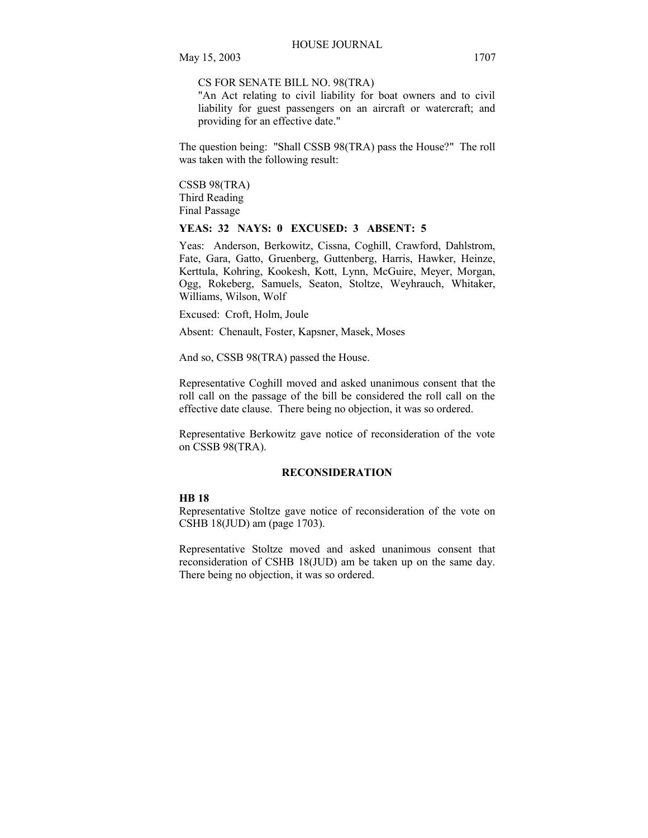CS FOR SENATE BILL NO. 98(TRA)

"An Act relating to civil liability for boat owners and to civil liability for guest passengers on an aircraft or watercraft; and providing for an effective date."

The question being: "Shall CSSB 98(TRA) pass the House?" The roll was taken with the following result:

CSSB 98(TRA) Third Reading Final Passage

# **YEAS: 32 NAYS: 0 EXCUSED: 3 ABSENT: 5**

Yeas: Anderson, Berkowitz, Cissna, Coghill, Crawford, Dahlstrom, Fate, Gara, Gatto, Gruenberg, Guttenberg, Harris, Hawker, Heinze, Kerttula, Kohring, Kookesh, Kott, Lynn, McGuire, Meyer, Morgan, Ogg, Rokeberg, Samuels, Seaton, Stoltze, Weyhrauch, Whitaker, Williams, Wilson, Wolf

Excused: Croft, Holm, Joule

Absent: Chenault, Foster, Kapsner, Masek, Moses

And so, CSSB 98(TRA) passed the House.

Representative Coghill moved and asked unanimous consent that the roll call on the passage of the bill be considered the roll call on the effective date clause. There being no objection, it was so ordered.

Representative Berkowitz gave notice of reconsideration of the vote on CSSB 98(TRA).

#### **RECONSIDERATION**

## **HB 18**

Representative Stoltze gave notice of reconsideration of the vote on CSHB 18(JUD) am (page 1703).

Representative Stoltze moved and asked unanimous consent that reconsideration of CSHB 18(JUD) am be taken up on the same day. There being no objection, it was so ordered.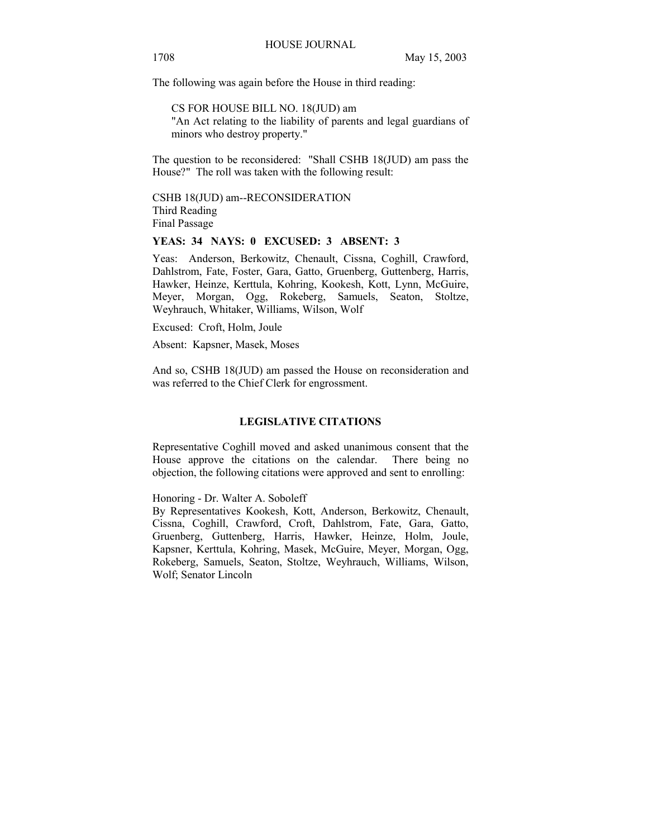The following was again before the House in third reading:

CS FOR HOUSE BILL NO. 18(JUD) am "An Act relating to the liability of parents and legal guardians of minors who destroy property."

The question to be reconsidered: "Shall CSHB 18(JUD) am pass the House?" The roll was taken with the following result:

CSHB 18(JUD) am--RECONSIDERATION Third Reading Final Passage

#### **YEAS: 34 NAYS: 0 EXCUSED: 3 ABSENT: 3**

Yeas: Anderson, Berkowitz, Chenault, Cissna, Coghill, Crawford, Dahlstrom, Fate, Foster, Gara, Gatto, Gruenberg, Guttenberg, Harris, Hawker, Heinze, Kerttula, Kohring, Kookesh, Kott, Lynn, McGuire, Meyer, Morgan, Ogg, Rokeberg, Samuels, Seaton, Stoltze, Weyhrauch, Whitaker, Williams, Wilson, Wolf

Excused: Croft, Holm, Joule

Absent: Kapsner, Masek, Moses

And so, CSHB 18(JUD) am passed the House on reconsideration and was referred to the Chief Clerk for engrossment.

## **LEGISLATIVE CITATIONS**

Representative Coghill moved and asked unanimous consent that the House approve the citations on the calendar. There being no objection, the following citations were approved and sent to enrolling:

Honoring - Dr. Walter A. Soboleff

By Representatives Kookesh, Kott, Anderson, Berkowitz, Chenault, Cissna, Coghill, Crawford, Croft, Dahlstrom, Fate, Gara, Gatto, Gruenberg, Guttenberg, Harris, Hawker, Heinze, Holm, Joule, Kapsner, Kerttula, Kohring, Masek, McGuire, Meyer, Morgan, Ogg, Rokeberg, Samuels, Seaton, Stoltze, Weyhrauch, Williams, Wilson, Wolf; Senator Lincoln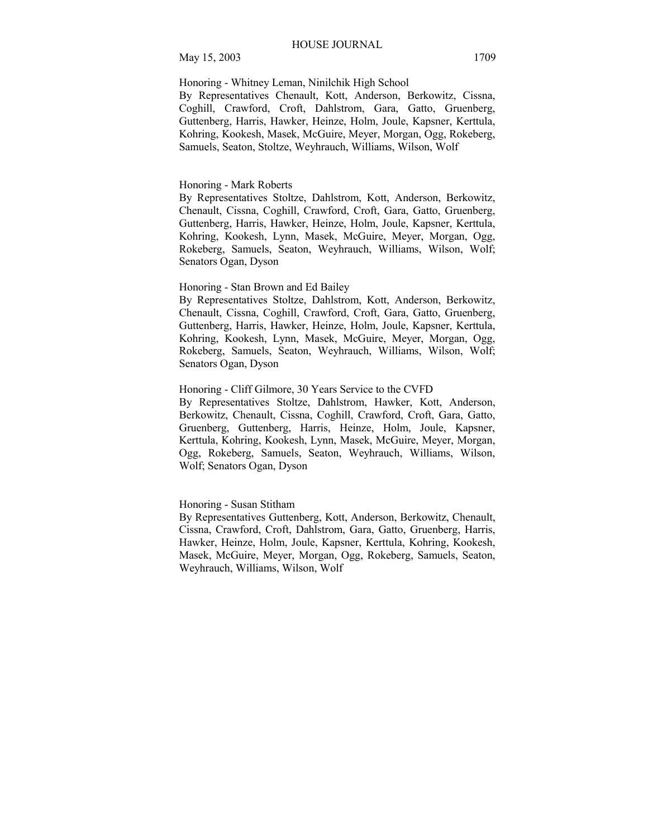Honoring - Whitney Leman, Ninilchik High School

By Representatives Chenault, Kott, Anderson, Berkowitz, Cissna, Coghill, Crawford, Croft, Dahlstrom, Gara, Gatto, Gruenberg, Guttenberg, Harris, Hawker, Heinze, Holm, Joule, Kapsner, Kerttula, Kohring, Kookesh, Masek, McGuire, Meyer, Morgan, Ogg, Rokeberg, Samuels, Seaton, Stoltze, Weyhrauch, Williams, Wilson, Wolf

#### Honoring - Mark Roberts

By Representatives Stoltze, Dahlstrom, Kott, Anderson, Berkowitz, Chenault, Cissna, Coghill, Crawford, Croft, Gara, Gatto, Gruenberg, Guttenberg, Harris, Hawker, Heinze, Holm, Joule, Kapsner, Kerttula, Kohring, Kookesh, Lynn, Masek, McGuire, Meyer, Morgan, Ogg, Rokeberg, Samuels, Seaton, Weyhrauch, Williams, Wilson, Wolf; Senators Ogan, Dyson

#### Honoring - Stan Brown and Ed Bailey

By Representatives Stoltze, Dahlstrom, Kott, Anderson, Berkowitz, Chenault, Cissna, Coghill, Crawford, Croft, Gara, Gatto, Gruenberg, Guttenberg, Harris, Hawker, Heinze, Holm, Joule, Kapsner, Kerttula, Kohring, Kookesh, Lynn, Masek, McGuire, Meyer, Morgan, Ogg, Rokeberg, Samuels, Seaton, Weyhrauch, Williams, Wilson, Wolf; Senators Ogan, Dyson

# Honoring - Cliff Gilmore, 30 Years Service to the CVFD

By Representatives Stoltze, Dahlstrom, Hawker, Kott, Anderson, Berkowitz, Chenault, Cissna, Coghill, Crawford, Croft, Gara, Gatto, Gruenberg, Guttenberg, Harris, Heinze, Holm, Joule, Kapsner, Kerttula, Kohring, Kookesh, Lynn, Masek, McGuire, Meyer, Morgan, Ogg, Rokeberg, Samuels, Seaton, Weyhrauch, Williams, Wilson, Wolf; Senators Ogan, Dyson

#### Honoring - Susan Stitham

By Representatives Guttenberg, Kott, Anderson, Berkowitz, Chenault, Cissna, Crawford, Croft, Dahlstrom, Gara, Gatto, Gruenberg, Harris, Hawker, Heinze, Holm, Joule, Kapsner, Kerttula, Kohring, Kookesh, Masek, McGuire, Meyer, Morgan, Ogg, Rokeberg, Samuels, Seaton, Weyhrauch, Williams, Wilson, Wolf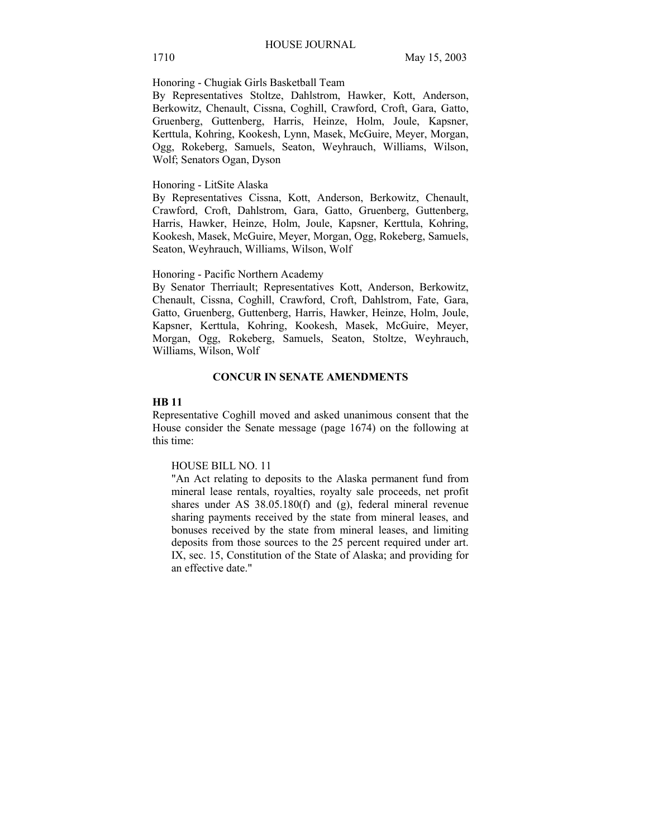Honoring - Chugiak Girls Basketball Team

By Representatives Stoltze, Dahlstrom, Hawker, Kott, Anderson, Berkowitz, Chenault, Cissna, Coghill, Crawford, Croft, Gara, Gatto, Gruenberg, Guttenberg, Harris, Heinze, Holm, Joule, Kapsner, Kerttula, Kohring, Kookesh, Lynn, Masek, McGuire, Meyer, Morgan, Ogg, Rokeberg, Samuels, Seaton, Weyhrauch, Williams, Wilson, Wolf; Senators Ogan, Dyson

## Honoring - LitSite Alaska

By Representatives Cissna, Kott, Anderson, Berkowitz, Chenault, Crawford, Croft, Dahlstrom, Gara, Gatto, Gruenberg, Guttenberg, Harris, Hawker, Heinze, Holm, Joule, Kapsner, Kerttula, Kohring, Kookesh, Masek, McGuire, Meyer, Morgan, Ogg, Rokeberg, Samuels, Seaton, Weyhrauch, Williams, Wilson, Wolf

#### Honoring - Pacific Northern Academy

By Senator Therriault; Representatives Kott, Anderson, Berkowitz, Chenault, Cissna, Coghill, Crawford, Croft, Dahlstrom, Fate, Gara, Gatto, Gruenberg, Guttenberg, Harris, Hawker, Heinze, Holm, Joule, Kapsner, Kerttula, Kohring, Kookesh, Masek, McGuire, Meyer, Morgan, Ogg, Rokeberg, Samuels, Seaton, Stoltze, Weyhrauch, Williams, Wilson, Wolf

#### **CONCUR IN SENATE AMENDMENTS**

## **HB 11**

Representative Coghill moved and asked unanimous consent that the House consider the Senate message (page 1674) on the following at this time:

#### HOUSE BILL NO. 11

"An Act relating to deposits to the Alaska permanent fund from mineral lease rentals, royalties, royalty sale proceeds, net profit shares under AS 38.05.180(f) and (g), federal mineral revenue sharing payments received by the state from mineral leases, and bonuses received by the state from mineral leases, and limiting deposits from those sources to the 25 percent required under art. IX, sec. 15, Constitution of the State of Alaska; and providing for an effective date."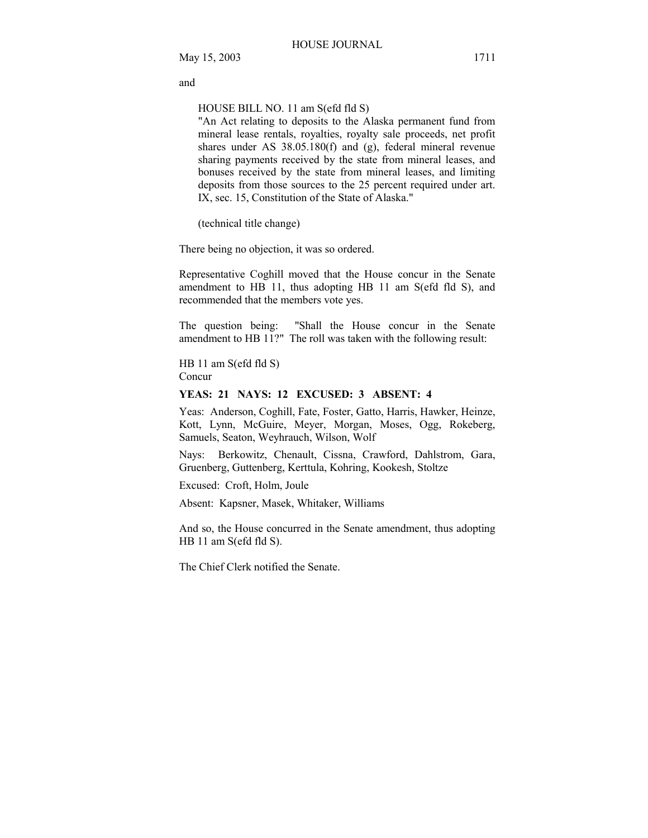and

HOUSE BILL NO. 11 am S(efd fld S)

"An Act relating to deposits to the Alaska permanent fund from mineral lease rentals, royalties, royalty sale proceeds, net profit shares under AS 38.05.180(f) and (g), federal mineral revenue sharing payments received by the state from mineral leases, and bonuses received by the state from mineral leases, and limiting deposits from those sources to the 25 percent required under art. IX, sec. 15, Constitution of the State of Alaska."

(technical title change)

There being no objection, it was so ordered.

Representative Coghill moved that the House concur in the Senate amendment to HB 11, thus adopting HB 11 am S(efd fld S), and recommended that the members vote yes.

The question being: "Shall the House concur in the Senate amendment to HB 11?" The roll was taken with the following result:

HB 11 am S(efd fld S) Concur

#### **YEAS: 21 NAYS: 12 EXCUSED: 3 ABSENT: 4**

Yeas: Anderson, Coghill, Fate, Foster, Gatto, Harris, Hawker, Heinze, Kott, Lynn, McGuire, Meyer, Morgan, Moses, Ogg, Rokeberg, Samuels, Seaton, Weyhrauch, Wilson, Wolf

Nays: Berkowitz, Chenault, Cissna, Crawford, Dahlstrom, Gara, Gruenberg, Guttenberg, Kerttula, Kohring, Kookesh, Stoltze

Excused: Croft, Holm, Joule

Absent: Kapsner, Masek, Whitaker, Williams

And so, the House concurred in the Senate amendment, thus adopting HB 11 am S(efd fld S).

The Chief Clerk notified the Senate.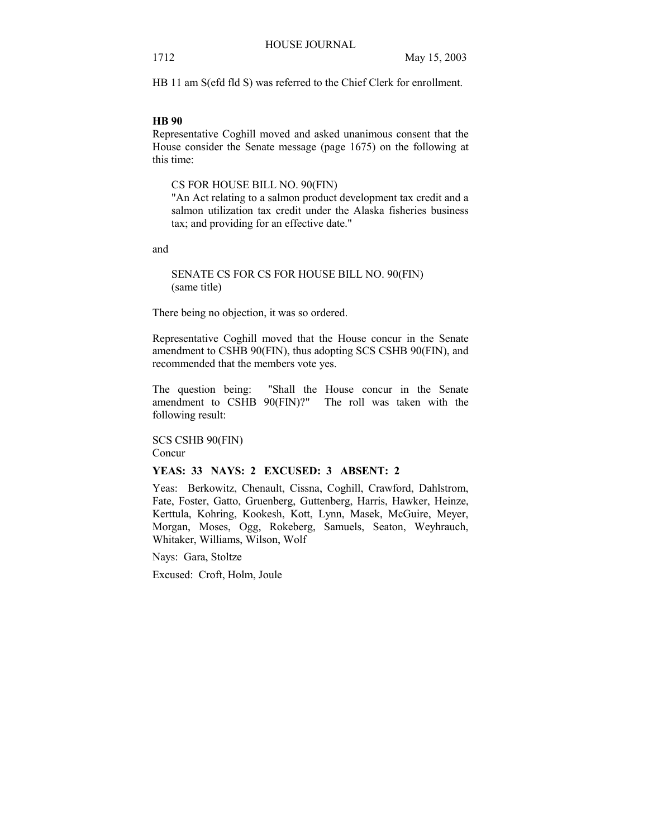HB 11 am S(efd fld S) was referred to the Chief Clerk for enrollment.

# **HB 90**

Representative Coghill moved and asked unanimous consent that the House consider the Senate message (page 1675) on the following at this time:

CS FOR HOUSE BILL NO. 90(FIN)

"An Act relating to a salmon product development tax credit and a salmon utilization tax credit under the Alaska fisheries business tax; and providing for an effective date."

and

SENATE CS FOR CS FOR HOUSE BILL NO. 90(FIN) (same title)

There being no objection, it was so ordered.

Representative Coghill moved that the House concur in the Senate amendment to CSHB 90(FIN), thus adopting SCS CSHB 90(FIN), and recommended that the members vote yes.

The question being: "Shall the House concur in the Senate amendment to CSHB 90(FIN)?" The roll was taken with the following result:

SCS CSHB 90(FIN) Concur

# **YEAS: 33 NAYS: 2 EXCUSED: 3 ABSENT: 2**

Yeas: Berkowitz, Chenault, Cissna, Coghill, Crawford, Dahlstrom, Fate, Foster, Gatto, Gruenberg, Guttenberg, Harris, Hawker, Heinze, Kerttula, Kohring, Kookesh, Kott, Lynn, Masek, McGuire, Meyer, Morgan, Moses, Ogg, Rokeberg, Samuels, Seaton, Weyhrauch, Whitaker, Williams, Wilson, Wolf

Nays: Gara, Stoltze

Excused: Croft, Holm, Joule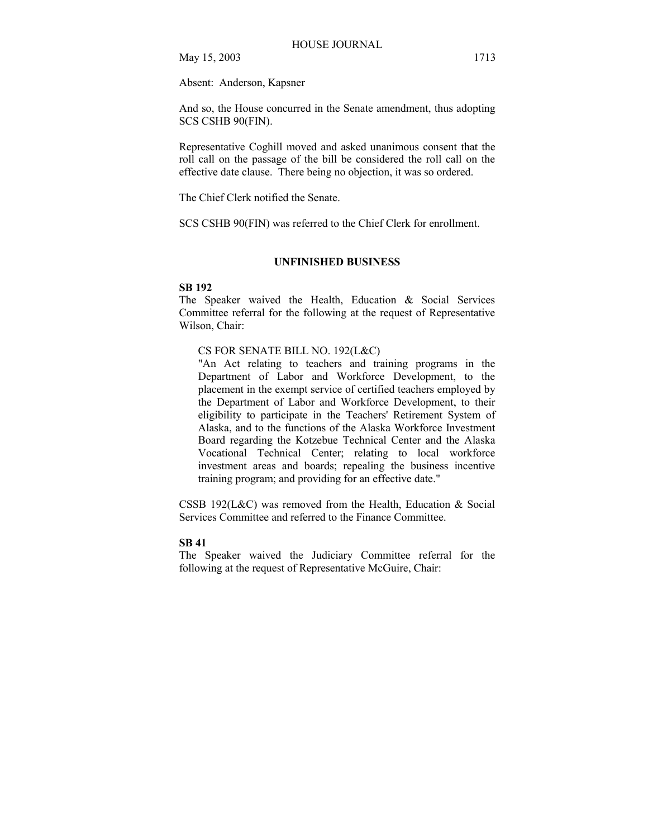Absent: Anderson, Kapsner

And so, the House concurred in the Senate amendment, thus adopting SCS CSHB 90(FIN).

Representative Coghill moved and asked unanimous consent that the roll call on the passage of the bill be considered the roll call on the effective date clause. There being no objection, it was so ordered.

The Chief Clerk notified the Senate.

SCS CSHB 90(FIN) was referred to the Chief Clerk for enrollment.

# **UNFINISHED BUSINESS**

#### **SB 192**

The Speaker waived the Health, Education & Social Services Committee referral for the following at the request of Representative Wilson, Chair:

# CS FOR SENATE BILL NO. 192(L&C)

"An Act relating to teachers and training programs in the Department of Labor and Workforce Development, to the placement in the exempt service of certified teachers employed by the Department of Labor and Workforce Development, to their eligibility to participate in the Teachers' Retirement System of Alaska, and to the functions of the Alaska Workforce Investment Board regarding the Kotzebue Technical Center and the Alaska Vocational Technical Center; relating to local workforce investment areas and boards; repealing the business incentive training program; and providing for an effective date."

CSSB 192(L&C) was removed from the Health, Education & Social Services Committee and referred to the Finance Committee.

# **SB 41**

The Speaker waived the Judiciary Committee referral for the following at the request of Representative McGuire, Chair: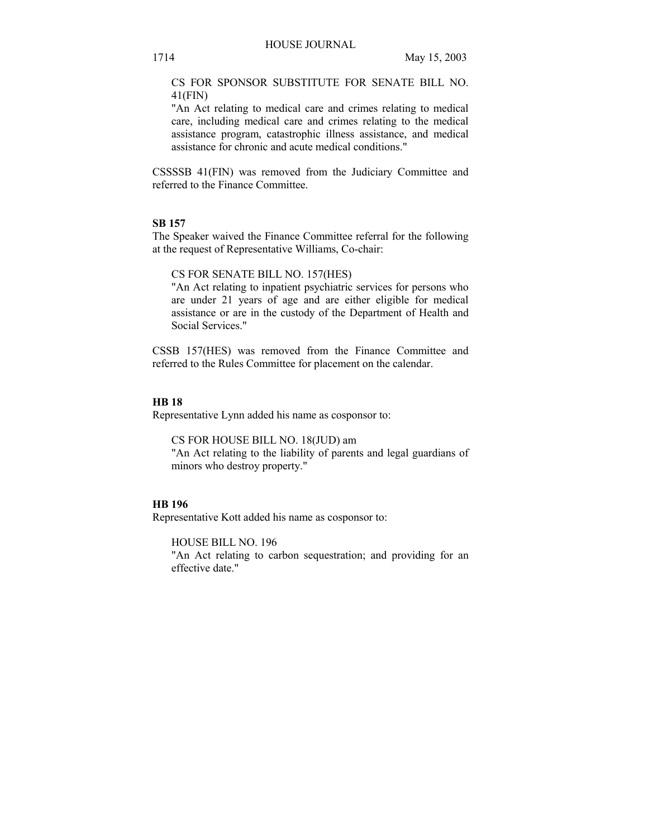CS FOR SPONSOR SUBSTITUTE FOR SENATE BILL NO. 41(FIN)

"An Act relating to medical care and crimes relating to medical care, including medical care and crimes relating to the medical assistance program, catastrophic illness assistance, and medical assistance for chronic and acute medical conditions."

CSSSSB 41(FIN) was removed from the Judiciary Committee and referred to the Finance Committee.

## **SB 157**

The Speaker waived the Finance Committee referral for the following at the request of Representative Williams, Co-chair:

CS FOR SENATE BILL NO. 157(HES)

"An Act relating to inpatient psychiatric services for persons who are under 21 years of age and are either eligible for medical assistance or are in the custody of the Department of Health and Social Services."

CSSB 157(HES) was removed from the Finance Committee and referred to the Rules Committee for placement on the calendar.

## **HB 18**

Representative Lynn added his name as cosponsor to:

CS FOR HOUSE BILL NO. 18(JUD) am

"An Act relating to the liability of parents and legal guardians of minors who destroy property."

## **HB 196**

Representative Kott added his name as cosponsor to:

HOUSE BILL NO. 196

"An Act relating to carbon sequestration; and providing for an effective date."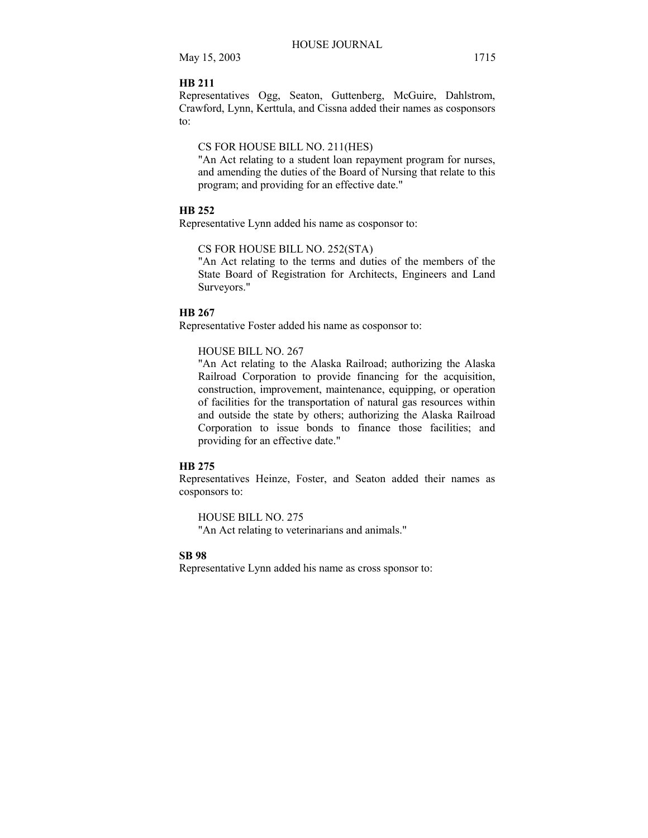#### **HB 211**

Representatives Ogg, Seaton, Guttenberg, McGuire, Dahlstrom, Crawford, Lynn, Kerttula, and Cissna added their names as cosponsors to:

# CS FOR HOUSE BILL NO. 211(HES)

"An Act relating to a student loan repayment program for nurses, and amending the duties of the Board of Nursing that relate to this program; and providing for an effective date."

# **HB 252**

Representative Lynn added his name as cosponsor to:

## CS FOR HOUSE BILL NO. 252(STA)

"An Act relating to the terms and duties of the members of the State Board of Registration for Architects, Engineers and Land Surveyors."

#### **HB 267**

Representative Foster added his name as cosponsor to:

#### HOUSE BILL NO. 267

"An Act relating to the Alaska Railroad; authorizing the Alaska Railroad Corporation to provide financing for the acquisition, construction, improvement, maintenance, equipping, or operation of facilities for the transportation of natural gas resources within and outside the state by others; authorizing the Alaska Railroad Corporation to issue bonds to finance those facilities; and providing for an effective date."

#### **HB 275**

Representatives Heinze, Foster, and Seaton added their names as cosponsors to:

HOUSE BILL NO. 275 "An Act relating to veterinarians and animals."

#### **SB 98**

Representative Lynn added his name as cross sponsor to: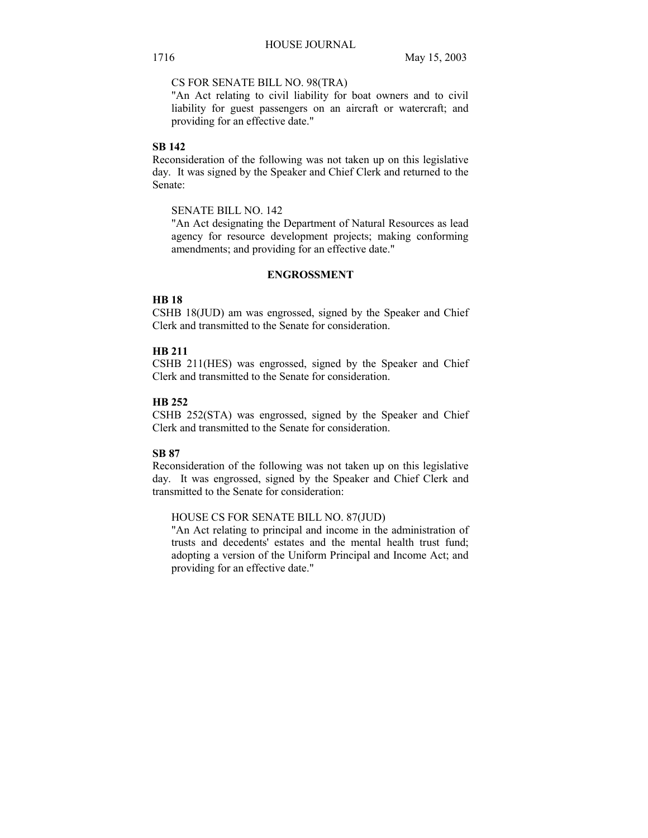CS FOR SENATE BILL NO. 98(TRA)

"An Act relating to civil liability for boat owners and to civil liability for guest passengers on an aircraft or watercraft; and providing for an effective date."

# **SB 142**

Reconsideration of the following was not taken up on this legislative day. It was signed by the Speaker and Chief Clerk and returned to the Senate:

SENATE BILL NO. 142

"An Act designating the Department of Natural Resources as lead agency for resource development projects; making conforming amendments; and providing for an effective date."

# **ENGROSSMENT**

# **HB 18**

CSHB 18(JUD) am was engrossed, signed by the Speaker and Chief Clerk and transmitted to the Senate for consideration.

# **HB 211**

CSHB 211(HES) was engrossed, signed by the Speaker and Chief Clerk and transmitted to the Senate for consideration.

## **HB 252**

CSHB 252(STA) was engrossed, signed by the Speaker and Chief Clerk and transmitted to the Senate for consideration.

# **SB 87**

Reconsideration of the following was not taken up on this legislative day. It was engrossed, signed by the Speaker and Chief Clerk and transmitted to the Senate for consideration:

#### HOUSE CS FOR SENATE BILL NO. 87(JUD)

"An Act relating to principal and income in the administration of trusts and decedents' estates and the mental health trust fund; adopting a version of the Uniform Principal and Income Act; and providing for an effective date."